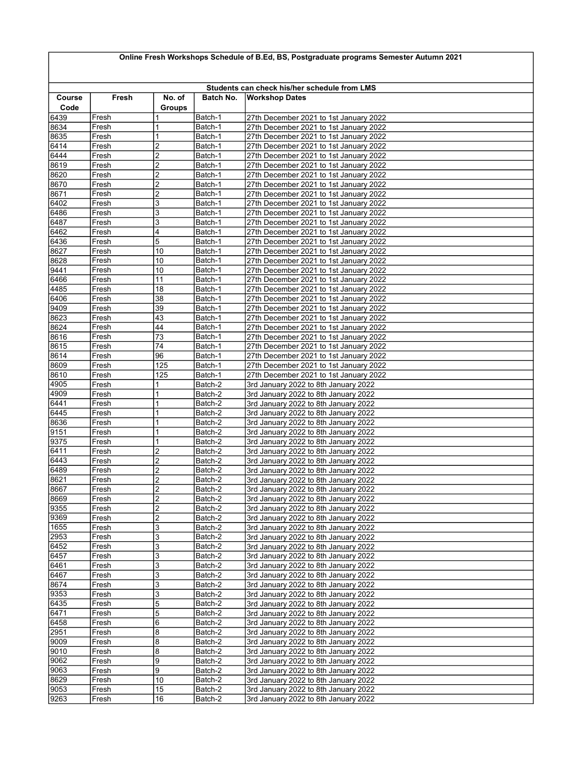## Online Fresh Workshops Schedule of B.Ed, BS, Postgraduate programs Semester Autumn 2021

|                |                |                         |                    | Students can check his/her schedule from LMS                                     |
|----------------|----------------|-------------------------|--------------------|----------------------------------------------------------------------------------|
| Course<br>Code | Fresh          | No. of<br><b>Groups</b> | Batch No.          | <b>Workshop Dates</b>                                                            |
| 6439           | Fresh          |                         | Batch-1            | 27th December 2021 to 1st January 2022                                           |
| 8634           | Fresh          | 1                       | Batch-1            | 27th December 2021 to 1st January 2022                                           |
| 8635           | Fresh          | 1                       | Batch-1            | 27th December 2021 to 1st January 2022                                           |
| 6414           | Fresh          | $\overline{2}$          | Batch-1            | 27th December 2021 to 1st January 2022                                           |
| 6444           | Fresh          | $\overline{2}$          | Batch-1            | 27th December 2021 to 1st January 2022                                           |
| 8619           | Fresh          | 2                       | Batch-1            | 27th December 2021 to 1st January 2022                                           |
| 8620           | Fresh          | $\overline{2}$          | Batch-1            | 27th December 2021 to 1st January 2022                                           |
| 8670           | Fresh          | $\overline{2}$          | Batch-1            | 27th December 2021 to 1st January 2022                                           |
| 8671<br>6402   | Fresh          | $\overline{2}$<br>3     | Batch-1            | 27th December 2021 to 1st January 2022<br>27th December 2021 to 1st January 2022 |
| 6486           | Fresh<br>Fresh | 3                       | Batch-1<br>Batch-1 | 27th December 2021 to 1st January 2022                                           |
| 6487           | Fresh          | 3                       | Batch-1            | 27th December 2021 to 1st January 2022                                           |
| 6462           | Fresh          | 4                       | Batch-1            | 27th December 2021 to 1st January 2022                                           |
| 6436           | Fresh          | 5                       | Batch-1            | 27th December 2021 to 1st January 2022                                           |
| 8627           | Fresh          | 10                      | Batch-1            | 27th December 2021 to 1st January 2022                                           |
| 8628           | Fresh          | 10                      | Batch-1            | 27th December 2021 to 1st January 2022                                           |
| 9441           | Fresh          | 10                      | Batch-1            | 27th December 2021 to 1st January 2022                                           |
| 6466           | Fresh          | 11                      | Batch-1            | 27th December 2021 to 1st January 2022                                           |
| 4485           | Fresh          | 18                      | Batch-1            | 27th December 2021 to 1st January 2022                                           |
| 6406           | Fresh          | 38                      | Batch-1            | 27th December 2021 to 1st January 2022                                           |
| 9409           | Fresh          | 39                      | Batch-1            | 27th December 2021 to 1st January 2022                                           |
| 8623           | Fresh          | 43                      | Batch-1<br>Batch-1 | 27th December 2021 to 1st January 2022                                           |
| 8624<br>8616   | Fresh<br>Fresh | 44<br>73                | Batch-1            | 27th December 2021 to 1st January 2022<br>27th December 2021 to 1st January 2022 |
| 8615           | Fresh          | 74                      | Batch-1            | 27th December 2021 to 1st January 2022                                           |
| 8614           | Fresh          | 96                      | Batch-1            | 27th December 2021 to 1st January 2022                                           |
| 8609           | Fresh          | 125                     | Batch-1            | 27th December 2021 to 1st January 2022                                           |
| 8610           | Fresh          | 125                     | Batch-1            | 27th December 2021 to 1st January 2022                                           |
| 4905           | Fresh          | 1                       | Batch-2            | 3rd January 2022 to 8th January 2022                                             |
| 4909           | Fresh          | 1                       | Batch-2            | 3rd January 2022 to 8th January 2022                                             |
| 6441           | Fresh          | 1                       | Batch-2            | 3rd January 2022 to 8th January 2022                                             |
| 6445           | Fresh          | 1                       | Batch-2            | 3rd January 2022 to 8th January 2022                                             |
| 8636           | Fresh          | 1                       | Batch-2            | 3rd January 2022 to 8th January 2022                                             |
| 9151           | Fresh          | 1                       | Batch-2            | 3rd January 2022 to 8th January 2022                                             |
| 9375<br>6411   | Fresh          | 1                       | Batch-2            | 3rd January 2022 to 8th January 2022                                             |
| 6443           | Fresh<br>Fresh | 2<br>$\overline{c}$     | Batch-2<br>Batch-2 | 3rd January 2022 to 8th January 2022<br>3rd January 2022 to 8th January 2022     |
| 6489           | Fresh          | 2                       | Batch-2            | 3rd January 2022 to 8th January 2022                                             |
| 8621           | Fresh          | 2                       | Batch-2            | 3rd January 2022 to 8th January 2022                                             |
| 8667           | Fresh          | $\overline{2}$          | Batch-2            | 3rd January 2022 to 8th January 2022                                             |
| 8669           | Fresh          | $\overline{2}$          | Batch-2            | 3rd January 2022 to 8th January 2022                                             |
| 9355           | Fresh          | $\overline{2}$          | Batch-2            | 3rd January 2022 to 8th January 2022                                             |
| 9369           | Fresh          | $\overline{c}$          | Batch-2            | 3rd January 2022 to 8th January 2022                                             |
| 1655           | Fresh          | 3                       | Batch-2            | 3rd January 2022 to 8th January 2022                                             |
| 2953           | Fresh          | 3                       | Batch-2            | 3rd January 2022 to 8th January 2022                                             |
| 6452           | Fresh          | 3                       | Batch-2            | 3rd January 2022 to 8th January 2022                                             |
| 6457           | Fresh          | 3                       | Batch-2            | 3rd January 2022 to 8th January 2022                                             |
| 6461<br>6467   | Fresh<br>Fresh | 3<br>3                  | Batch-2<br>Batch-2 | 3rd January 2022 to 8th January 2022<br>3rd January 2022 to 8th January 2022     |
| 8674           | Fresh          | 3                       | Batch-2            | 3rd January 2022 to 8th January 2022                                             |
| 9353           | Fresh          | 3                       | Batch-2            | 3rd January 2022 to 8th January 2022                                             |
| 6435           | Fresh          | 5                       | Batch-2            | 3rd January 2022 to 8th January 2022                                             |
| 6471           | Fresh          | 5                       | Batch-2            | 3rd January 2022 to 8th January 2022                                             |
| 6458           | Fresh          | 6                       | Batch-2            | 3rd January 2022 to 8th January 2022                                             |
| 2951           | Fresh          | 8                       | Batch-2            | 3rd January 2022 to 8th January 2022                                             |
| 9009           | Fresh          | 8                       | Batch-2            | 3rd January 2022 to 8th January 2022                                             |
| 9010           | Fresh          | 8                       | Batch-2            | 3rd January 2022 to 8th January 2022                                             |
| 9062           | Fresh          | 9                       | Batch-2            | 3rd January 2022 to 8th January 2022                                             |
| 9063           | Fresh          | 9                       | Batch-2            | 3rd January 2022 to 8th January 2022                                             |
| 8629           | Fresh          | 10                      | Batch-2            | 3rd January 2022 to 8th January 2022                                             |
| 9053           | Fresh          | 15                      | Batch-2            | 3rd January 2022 to 8th January 2022                                             |
| 9263           | Fresh          | 16                      | Batch-2            | 3rd January 2022 to 8th January 2022                                             |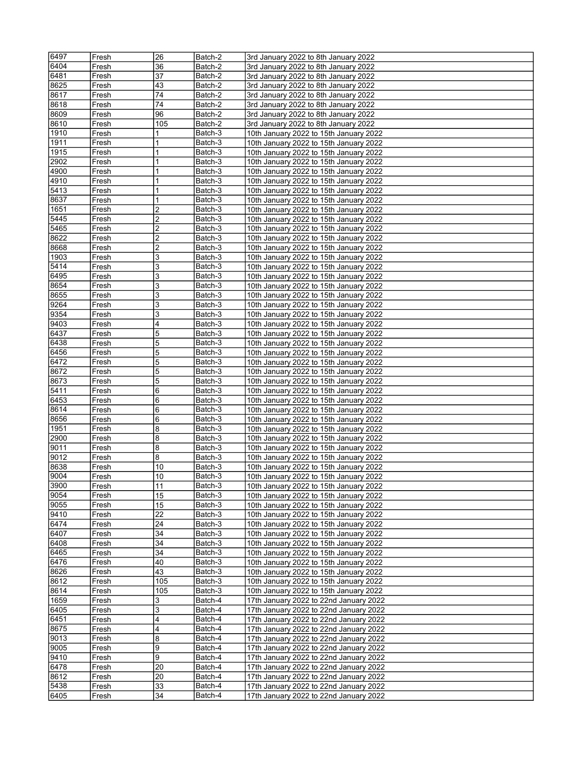| 6404<br>36<br>3rd January 2022 to 8th January 2022<br>Batch-2<br>Fresh<br>6481<br>37<br>Fresh<br>Batch-2<br>3rd January 2022 to 8th January 2022<br>8625<br>43<br>Batch-2<br>3rd January 2022 to 8th January 2022<br>Fresh<br>8617<br>74<br>3rd January 2022 to 8th January 2022<br>Fresh<br>Batch-2<br>8618<br>74<br>Batch-2<br>3rd January 2022 to 8th January 2022<br>Fresh<br>8609<br>96<br>Batch-2<br>3rd January 2022 to 8th January 2022<br>Fresh<br>8610<br>Fresh<br>105<br>Batch-2<br>3rd January 2022 to 8th January 2022<br>1910<br>1<br>Batch-3<br>10th January 2022 to 15th January 2022<br>Fresh<br>1911<br>1<br>Batch-3<br>Fresh<br>10th January 2022 to 15th January 2022<br>1<br>1915<br>10th January 2022 to 15th January 2022<br>Fresh<br>Batch-3<br>2902<br>1<br>Batch-3<br>Fresh<br>10th January 2022 to 15th January 2022<br>4900<br>1<br>Batch-3<br>10th January 2022 to 15th January 2022<br>Fresh<br>4910<br>1<br>Batch-3<br>Fresh<br>10th January 2022 to 15th January 2022<br>5413<br>1<br>Fresh<br>Batch-3<br>10th January 2022 to 15th January 2022<br>8637<br>1<br>Batch-3<br>10th January 2022 to 15th January 2022<br>Fresh<br>2<br>1651<br>Fresh<br>Batch-3<br>10th January 2022 to 15th January 2022<br>5445<br>2<br>Fresh<br>Batch-3<br>10th January 2022 to 15th January 2022<br>5465<br>2<br>Fresh<br>Batch-3<br>10th January 2022 to 15th January 2022<br>2<br>8622<br>Fresh<br>Batch-3<br>10th January 2022 to 15th January 2022<br>2<br>8668<br>10th January 2022 to 15th January 2022<br>Fresh<br>Batch-3<br>3<br>1903<br>Fresh<br>Batch-3<br>10th January 2022 to 15th January 2022<br>5414<br>3<br>Fresh<br>Batch-3<br>10th January 2022 to 15th January 2022<br>6495<br>3<br>Batch-3<br>10th January 2022 to 15th January 2022<br>Fresh<br>3<br>8654<br>Fresh<br>Batch-3<br>10th January 2022 to 15th January 2022<br>8655<br>3<br>Fresh<br>Batch-3<br>10th January 2022 to 15th January 2022<br>3<br>9264<br>10th January 2022 to 15th January 2022<br>Batch-3<br>Fresh<br>9354<br>3<br>Batch-3<br>10th January 2022 to 15th January 2022<br>Fresh<br>4<br>9403<br>Fresh<br>Batch-3<br>10th January 2022 to 15th January 2022<br>6437<br>5<br>Batch-3<br>10th January 2022 to 15th January 2022<br>Fresh<br>5<br>6438<br>Fresh<br>Batch-3<br>10th January 2022 to 15th January 2022<br>5<br>6456<br>Batch-3<br>10th January 2022 to 15th January 2022<br>Fresh<br>5<br>6472<br>Fresh<br>Batch-3<br>10th January 2022 to 15th January 2022<br>5<br>8672<br>Fresh<br>Batch-3<br>10th January 2022 to 15th January 2022<br>8673<br>5<br>Fresh<br>Batch-3<br>10th January 2022 to 15th January 2022<br>5411<br>6<br>10th January 2022 to 15th January 2022<br>Fresh<br>Batch-3<br>6453<br>6<br>Batch-3<br>Fresh<br>10th January 2022 to 15th January 2022<br>8614<br>6<br>Batch-3<br>10th January 2022 to 15th January 2022<br>Fresh<br>8656 <br>6<br>Batch-3<br>10th January 2022 to 15th January 2022<br>Fresh<br>1951<br>8<br>Fresh<br>Batch-3<br>10th January 2022 to 15th January 2022<br>2900<br>8<br>Batch-3<br>10th January 2022 to 15th January 2022<br>Fresh<br>8<br>9011<br>Batch-3<br>Fresh<br>10th January 2022 to 15th January 2022<br>8<br>9012<br>Fresh<br>Batch-3<br>10th January 2022 to 15th January 2022<br>8638<br>10<br>Batch-3<br>10th January 2022 to 15th January 2022<br>Fresh<br>10<br>19004<br>Fresh<br>10th January 2022 to 15th January 2022<br>Batch-3<br>3900<br>10th January 2022 to 15th January 2022<br>11<br>Batch-3<br>Fresh<br>15<br>9054<br>Batch-3<br>10th January 2022 to 15th January 2022<br>Fresh<br>9055<br>15<br>Batch-3<br>10th January 2022 to 15th January 2022<br>Fresh<br>9410<br>22<br>Batch-3<br>10th January 2022 to 15th January 2022<br>Fresh<br>6474<br>24<br>Batch-3<br>10th January 2022 to 15th January 2022<br>Fresh<br>6407<br>34<br>10th January 2022 to 15th January 2022<br>Fresh<br>Batch-3<br>6408<br>34<br>10th January 2022 to 15th January 2022<br>Batch-3<br>Fresh<br>6465<br>34<br>Batch-3<br>10th January 2022 to 15th January 2022<br>Fresh<br>6476<br>40<br>10th January 2022 to 15th January 2022<br>Fresh<br>Batch-3<br>8626<br>43<br>Batch-3<br>10th January 2022 to 15th January 2022<br>Fresh<br>8612<br>10th January 2022 to 15th January 2022<br>Fresh<br>105<br>Batch-3<br>8614<br>105<br>Batch-3<br>10th January 2022 to 15th January 2022<br>Fresh<br>1659<br>3<br>Batch-4<br>17th January 2022 to 22nd January 2022<br>Fresh<br>6405<br>3<br>17th January 2022 to 22nd January 2022<br>Fresh<br>Batch-4<br>4<br>6451<br>Batch-4<br>17th January 2022 to 22nd January 2022<br>Fresh<br>4<br>17th January 2022 to 22nd January 2022<br>8675<br>Batch-4<br>Fresh<br>9013<br>8<br>Batch-4<br>17th January 2022 to 22nd January 2022<br>Fresh<br>9<br>9005<br>Batch-4<br>17th January 2022 to 22nd January 2022<br>Fresh<br>9<br>9410<br>Batch-4<br>17th January 2022 to 22nd January 2022<br>Fresh<br>6478<br>Fresh<br>17th January 2022 to 22nd January 2022<br>20<br>Batch-4<br>8612<br>Batch-4<br>20<br>17th January 2022 to 22nd January 2022<br>Fresh<br>5438<br>Fresh<br>33<br>Batch-4<br>17th January 2022 to 22nd January 2022<br>34<br>6405<br>Batch-4<br>17th January 2022 to 22nd January 2022<br>Fresh | 6497 | Fresh | 26 | Batch-2 | 3rd January 2022 to 8th January 2022 |
|-----------------------------------------------------------------------------------------------------------------------------------------------------------------------------------------------------------------------------------------------------------------------------------------------------------------------------------------------------------------------------------------------------------------------------------------------------------------------------------------------------------------------------------------------------------------------------------------------------------------------------------------------------------------------------------------------------------------------------------------------------------------------------------------------------------------------------------------------------------------------------------------------------------------------------------------------------------------------------------------------------------------------------------------------------------------------------------------------------------------------------------------------------------------------------------------------------------------------------------------------------------------------------------------------------------------------------------------------------------------------------------------------------------------------------------------------------------------------------------------------------------------------------------------------------------------------------------------------------------------------------------------------------------------------------------------------------------------------------------------------------------------------------------------------------------------------------------------------------------------------------------------------------------------------------------------------------------------------------------------------------------------------------------------------------------------------------------------------------------------------------------------------------------------------------------------------------------------------------------------------------------------------------------------------------------------------------------------------------------------------------------------------------------------------------------------------------------------------------------------------------------------------------------------------------------------------------------------------------------------------------------------------------------------------------------------------------------------------------------------------------------------------------------------------------------------------------------------------------------------------------------------------------------------------------------------------------------------------------------------------------------------------------------------------------------------------------------------------------------------------------------------------------------------------------------------------------------------------------------------------------------------------------------------------------------------------------------------------------------------------------------------------------------------------------------------------------------------------------------------------------------------------------------------------------------------------------------------------------------------------------------------------------------------------------------------------------------------------------------------------------------------------------------------------------------------------------------------------------------------------------------------------------------------------------------------------------------------------------------------------------------------------------------------------------------------------------------------------------------------------------------------------------------------------------------------------------------------------------------------------------------------------------------------------------------------------------------------------------------------------------------------------------------------------------------------------------------------------------------------------------------------------------------------------------------------------------------------------------------------------------------------------------------------------------------------------------------------------------------------------------------------------------------------------------------------------------------------------------------------------------------------------------------------------------------------------------------------------------------------------------------------------------------------------------------------------------------------------------------------------------------------------------------------------------------------------------------------------------------------------|------|-------|----|---------|--------------------------------------|
|                                                                                                                                                                                                                                                                                                                                                                                                                                                                                                                                                                                                                                                                                                                                                                                                                                                                                                                                                                                                                                                                                                                                                                                                                                                                                                                                                                                                                                                                                                                                                                                                                                                                                                                                                                                                                                                                                                                                                                                                                                                                                                                                                                                                                                                                                                                                                                                                                                                                                                                                                                                                                                                                                                                                                                                                                                                                                                                                                                                                                                                                                                                                                                                                                                                                                                                                                                                                                                                                                                                                                                                                                                                                                                                                                                                                                                                                                                                                                                                                                                                                                                                                                                                                                                                                                                                                                                                                                                                                                                                                                                                                                                                                                                                                                                                                                                                                                                                                                                                                                                                                                                                                                                                                                                               |      |       |    |         |                                      |
|                                                                                                                                                                                                                                                                                                                                                                                                                                                                                                                                                                                                                                                                                                                                                                                                                                                                                                                                                                                                                                                                                                                                                                                                                                                                                                                                                                                                                                                                                                                                                                                                                                                                                                                                                                                                                                                                                                                                                                                                                                                                                                                                                                                                                                                                                                                                                                                                                                                                                                                                                                                                                                                                                                                                                                                                                                                                                                                                                                                                                                                                                                                                                                                                                                                                                                                                                                                                                                                                                                                                                                                                                                                                                                                                                                                                                                                                                                                                                                                                                                                                                                                                                                                                                                                                                                                                                                                                                                                                                                                                                                                                                                                                                                                                                                                                                                                                                                                                                                                                                                                                                                                                                                                                                                               |      |       |    |         |                                      |
|                                                                                                                                                                                                                                                                                                                                                                                                                                                                                                                                                                                                                                                                                                                                                                                                                                                                                                                                                                                                                                                                                                                                                                                                                                                                                                                                                                                                                                                                                                                                                                                                                                                                                                                                                                                                                                                                                                                                                                                                                                                                                                                                                                                                                                                                                                                                                                                                                                                                                                                                                                                                                                                                                                                                                                                                                                                                                                                                                                                                                                                                                                                                                                                                                                                                                                                                                                                                                                                                                                                                                                                                                                                                                                                                                                                                                                                                                                                                                                                                                                                                                                                                                                                                                                                                                                                                                                                                                                                                                                                                                                                                                                                                                                                                                                                                                                                                                                                                                                                                                                                                                                                                                                                                                                               |      |       |    |         |                                      |
|                                                                                                                                                                                                                                                                                                                                                                                                                                                                                                                                                                                                                                                                                                                                                                                                                                                                                                                                                                                                                                                                                                                                                                                                                                                                                                                                                                                                                                                                                                                                                                                                                                                                                                                                                                                                                                                                                                                                                                                                                                                                                                                                                                                                                                                                                                                                                                                                                                                                                                                                                                                                                                                                                                                                                                                                                                                                                                                                                                                                                                                                                                                                                                                                                                                                                                                                                                                                                                                                                                                                                                                                                                                                                                                                                                                                                                                                                                                                                                                                                                                                                                                                                                                                                                                                                                                                                                                                                                                                                                                                                                                                                                                                                                                                                                                                                                                                                                                                                                                                                                                                                                                                                                                                                                               |      |       |    |         |                                      |
|                                                                                                                                                                                                                                                                                                                                                                                                                                                                                                                                                                                                                                                                                                                                                                                                                                                                                                                                                                                                                                                                                                                                                                                                                                                                                                                                                                                                                                                                                                                                                                                                                                                                                                                                                                                                                                                                                                                                                                                                                                                                                                                                                                                                                                                                                                                                                                                                                                                                                                                                                                                                                                                                                                                                                                                                                                                                                                                                                                                                                                                                                                                                                                                                                                                                                                                                                                                                                                                                                                                                                                                                                                                                                                                                                                                                                                                                                                                                                                                                                                                                                                                                                                                                                                                                                                                                                                                                                                                                                                                                                                                                                                                                                                                                                                                                                                                                                                                                                                                                                                                                                                                                                                                                                                               |      |       |    |         |                                      |
|                                                                                                                                                                                                                                                                                                                                                                                                                                                                                                                                                                                                                                                                                                                                                                                                                                                                                                                                                                                                                                                                                                                                                                                                                                                                                                                                                                                                                                                                                                                                                                                                                                                                                                                                                                                                                                                                                                                                                                                                                                                                                                                                                                                                                                                                                                                                                                                                                                                                                                                                                                                                                                                                                                                                                                                                                                                                                                                                                                                                                                                                                                                                                                                                                                                                                                                                                                                                                                                                                                                                                                                                                                                                                                                                                                                                                                                                                                                                                                                                                                                                                                                                                                                                                                                                                                                                                                                                                                                                                                                                                                                                                                                                                                                                                                                                                                                                                                                                                                                                                                                                                                                                                                                                                                               |      |       |    |         |                                      |
|                                                                                                                                                                                                                                                                                                                                                                                                                                                                                                                                                                                                                                                                                                                                                                                                                                                                                                                                                                                                                                                                                                                                                                                                                                                                                                                                                                                                                                                                                                                                                                                                                                                                                                                                                                                                                                                                                                                                                                                                                                                                                                                                                                                                                                                                                                                                                                                                                                                                                                                                                                                                                                                                                                                                                                                                                                                                                                                                                                                                                                                                                                                                                                                                                                                                                                                                                                                                                                                                                                                                                                                                                                                                                                                                                                                                                                                                                                                                                                                                                                                                                                                                                                                                                                                                                                                                                                                                                                                                                                                                                                                                                                                                                                                                                                                                                                                                                                                                                                                                                                                                                                                                                                                                                                               |      |       |    |         |                                      |
|                                                                                                                                                                                                                                                                                                                                                                                                                                                                                                                                                                                                                                                                                                                                                                                                                                                                                                                                                                                                                                                                                                                                                                                                                                                                                                                                                                                                                                                                                                                                                                                                                                                                                                                                                                                                                                                                                                                                                                                                                                                                                                                                                                                                                                                                                                                                                                                                                                                                                                                                                                                                                                                                                                                                                                                                                                                                                                                                                                                                                                                                                                                                                                                                                                                                                                                                                                                                                                                                                                                                                                                                                                                                                                                                                                                                                                                                                                                                                                                                                                                                                                                                                                                                                                                                                                                                                                                                                                                                                                                                                                                                                                                                                                                                                                                                                                                                                                                                                                                                                                                                                                                                                                                                                                               |      |       |    |         |                                      |
|                                                                                                                                                                                                                                                                                                                                                                                                                                                                                                                                                                                                                                                                                                                                                                                                                                                                                                                                                                                                                                                                                                                                                                                                                                                                                                                                                                                                                                                                                                                                                                                                                                                                                                                                                                                                                                                                                                                                                                                                                                                                                                                                                                                                                                                                                                                                                                                                                                                                                                                                                                                                                                                                                                                                                                                                                                                                                                                                                                                                                                                                                                                                                                                                                                                                                                                                                                                                                                                                                                                                                                                                                                                                                                                                                                                                                                                                                                                                                                                                                                                                                                                                                                                                                                                                                                                                                                                                                                                                                                                                                                                                                                                                                                                                                                                                                                                                                                                                                                                                                                                                                                                                                                                                                                               |      |       |    |         |                                      |
|                                                                                                                                                                                                                                                                                                                                                                                                                                                                                                                                                                                                                                                                                                                                                                                                                                                                                                                                                                                                                                                                                                                                                                                                                                                                                                                                                                                                                                                                                                                                                                                                                                                                                                                                                                                                                                                                                                                                                                                                                                                                                                                                                                                                                                                                                                                                                                                                                                                                                                                                                                                                                                                                                                                                                                                                                                                                                                                                                                                                                                                                                                                                                                                                                                                                                                                                                                                                                                                                                                                                                                                                                                                                                                                                                                                                                                                                                                                                                                                                                                                                                                                                                                                                                                                                                                                                                                                                                                                                                                                                                                                                                                                                                                                                                                                                                                                                                                                                                                                                                                                                                                                                                                                                                                               |      |       |    |         |                                      |
|                                                                                                                                                                                                                                                                                                                                                                                                                                                                                                                                                                                                                                                                                                                                                                                                                                                                                                                                                                                                                                                                                                                                                                                                                                                                                                                                                                                                                                                                                                                                                                                                                                                                                                                                                                                                                                                                                                                                                                                                                                                                                                                                                                                                                                                                                                                                                                                                                                                                                                                                                                                                                                                                                                                                                                                                                                                                                                                                                                                                                                                                                                                                                                                                                                                                                                                                                                                                                                                                                                                                                                                                                                                                                                                                                                                                                                                                                                                                                                                                                                                                                                                                                                                                                                                                                                                                                                                                                                                                                                                                                                                                                                                                                                                                                                                                                                                                                                                                                                                                                                                                                                                                                                                                                                               |      |       |    |         |                                      |
|                                                                                                                                                                                                                                                                                                                                                                                                                                                                                                                                                                                                                                                                                                                                                                                                                                                                                                                                                                                                                                                                                                                                                                                                                                                                                                                                                                                                                                                                                                                                                                                                                                                                                                                                                                                                                                                                                                                                                                                                                                                                                                                                                                                                                                                                                                                                                                                                                                                                                                                                                                                                                                                                                                                                                                                                                                                                                                                                                                                                                                                                                                                                                                                                                                                                                                                                                                                                                                                                                                                                                                                                                                                                                                                                                                                                                                                                                                                                                                                                                                                                                                                                                                                                                                                                                                                                                                                                                                                                                                                                                                                                                                                                                                                                                                                                                                                                                                                                                                                                                                                                                                                                                                                                                                               |      |       |    |         |                                      |
|                                                                                                                                                                                                                                                                                                                                                                                                                                                                                                                                                                                                                                                                                                                                                                                                                                                                                                                                                                                                                                                                                                                                                                                                                                                                                                                                                                                                                                                                                                                                                                                                                                                                                                                                                                                                                                                                                                                                                                                                                                                                                                                                                                                                                                                                                                                                                                                                                                                                                                                                                                                                                                                                                                                                                                                                                                                                                                                                                                                                                                                                                                                                                                                                                                                                                                                                                                                                                                                                                                                                                                                                                                                                                                                                                                                                                                                                                                                                                                                                                                                                                                                                                                                                                                                                                                                                                                                                                                                                                                                                                                                                                                                                                                                                                                                                                                                                                                                                                                                                                                                                                                                                                                                                                                               |      |       |    |         |                                      |
|                                                                                                                                                                                                                                                                                                                                                                                                                                                                                                                                                                                                                                                                                                                                                                                                                                                                                                                                                                                                                                                                                                                                                                                                                                                                                                                                                                                                                                                                                                                                                                                                                                                                                                                                                                                                                                                                                                                                                                                                                                                                                                                                                                                                                                                                                                                                                                                                                                                                                                                                                                                                                                                                                                                                                                                                                                                                                                                                                                                                                                                                                                                                                                                                                                                                                                                                                                                                                                                                                                                                                                                                                                                                                                                                                                                                                                                                                                                                                                                                                                                                                                                                                                                                                                                                                                                                                                                                                                                                                                                                                                                                                                                                                                                                                                                                                                                                                                                                                                                                                                                                                                                                                                                                                                               |      |       |    |         |                                      |
|                                                                                                                                                                                                                                                                                                                                                                                                                                                                                                                                                                                                                                                                                                                                                                                                                                                                                                                                                                                                                                                                                                                                                                                                                                                                                                                                                                                                                                                                                                                                                                                                                                                                                                                                                                                                                                                                                                                                                                                                                                                                                                                                                                                                                                                                                                                                                                                                                                                                                                                                                                                                                                                                                                                                                                                                                                                                                                                                                                                                                                                                                                                                                                                                                                                                                                                                                                                                                                                                                                                                                                                                                                                                                                                                                                                                                                                                                                                                                                                                                                                                                                                                                                                                                                                                                                                                                                                                                                                                                                                                                                                                                                                                                                                                                                                                                                                                                                                                                                                                                                                                                                                                                                                                                                               |      |       |    |         |                                      |
|                                                                                                                                                                                                                                                                                                                                                                                                                                                                                                                                                                                                                                                                                                                                                                                                                                                                                                                                                                                                                                                                                                                                                                                                                                                                                                                                                                                                                                                                                                                                                                                                                                                                                                                                                                                                                                                                                                                                                                                                                                                                                                                                                                                                                                                                                                                                                                                                                                                                                                                                                                                                                                                                                                                                                                                                                                                                                                                                                                                                                                                                                                                                                                                                                                                                                                                                                                                                                                                                                                                                                                                                                                                                                                                                                                                                                                                                                                                                                                                                                                                                                                                                                                                                                                                                                                                                                                                                                                                                                                                                                                                                                                                                                                                                                                                                                                                                                                                                                                                                                                                                                                                                                                                                                                               |      |       |    |         |                                      |
|                                                                                                                                                                                                                                                                                                                                                                                                                                                                                                                                                                                                                                                                                                                                                                                                                                                                                                                                                                                                                                                                                                                                                                                                                                                                                                                                                                                                                                                                                                                                                                                                                                                                                                                                                                                                                                                                                                                                                                                                                                                                                                                                                                                                                                                                                                                                                                                                                                                                                                                                                                                                                                                                                                                                                                                                                                                                                                                                                                                                                                                                                                                                                                                                                                                                                                                                                                                                                                                                                                                                                                                                                                                                                                                                                                                                                                                                                                                                                                                                                                                                                                                                                                                                                                                                                                                                                                                                                                                                                                                                                                                                                                                                                                                                                                                                                                                                                                                                                                                                                                                                                                                                                                                                                                               |      |       |    |         |                                      |
|                                                                                                                                                                                                                                                                                                                                                                                                                                                                                                                                                                                                                                                                                                                                                                                                                                                                                                                                                                                                                                                                                                                                                                                                                                                                                                                                                                                                                                                                                                                                                                                                                                                                                                                                                                                                                                                                                                                                                                                                                                                                                                                                                                                                                                                                                                                                                                                                                                                                                                                                                                                                                                                                                                                                                                                                                                                                                                                                                                                                                                                                                                                                                                                                                                                                                                                                                                                                                                                                                                                                                                                                                                                                                                                                                                                                                                                                                                                                                                                                                                                                                                                                                                                                                                                                                                                                                                                                                                                                                                                                                                                                                                                                                                                                                                                                                                                                                                                                                                                                                                                                                                                                                                                                                                               |      |       |    |         |                                      |
|                                                                                                                                                                                                                                                                                                                                                                                                                                                                                                                                                                                                                                                                                                                                                                                                                                                                                                                                                                                                                                                                                                                                                                                                                                                                                                                                                                                                                                                                                                                                                                                                                                                                                                                                                                                                                                                                                                                                                                                                                                                                                                                                                                                                                                                                                                                                                                                                                                                                                                                                                                                                                                                                                                                                                                                                                                                                                                                                                                                                                                                                                                                                                                                                                                                                                                                                                                                                                                                                                                                                                                                                                                                                                                                                                                                                                                                                                                                                                                                                                                                                                                                                                                                                                                                                                                                                                                                                                                                                                                                                                                                                                                                                                                                                                                                                                                                                                                                                                                                                                                                                                                                                                                                                                                               |      |       |    |         |                                      |
|                                                                                                                                                                                                                                                                                                                                                                                                                                                                                                                                                                                                                                                                                                                                                                                                                                                                                                                                                                                                                                                                                                                                                                                                                                                                                                                                                                                                                                                                                                                                                                                                                                                                                                                                                                                                                                                                                                                                                                                                                                                                                                                                                                                                                                                                                                                                                                                                                                                                                                                                                                                                                                                                                                                                                                                                                                                                                                                                                                                                                                                                                                                                                                                                                                                                                                                                                                                                                                                                                                                                                                                                                                                                                                                                                                                                                                                                                                                                                                                                                                                                                                                                                                                                                                                                                                                                                                                                                                                                                                                                                                                                                                                                                                                                                                                                                                                                                                                                                                                                                                                                                                                                                                                                                                               |      |       |    |         |                                      |
|                                                                                                                                                                                                                                                                                                                                                                                                                                                                                                                                                                                                                                                                                                                                                                                                                                                                                                                                                                                                                                                                                                                                                                                                                                                                                                                                                                                                                                                                                                                                                                                                                                                                                                                                                                                                                                                                                                                                                                                                                                                                                                                                                                                                                                                                                                                                                                                                                                                                                                                                                                                                                                                                                                                                                                                                                                                                                                                                                                                                                                                                                                                                                                                                                                                                                                                                                                                                                                                                                                                                                                                                                                                                                                                                                                                                                                                                                                                                                                                                                                                                                                                                                                                                                                                                                                                                                                                                                                                                                                                                                                                                                                                                                                                                                                                                                                                                                                                                                                                                                                                                                                                                                                                                                                               |      |       |    |         |                                      |
|                                                                                                                                                                                                                                                                                                                                                                                                                                                                                                                                                                                                                                                                                                                                                                                                                                                                                                                                                                                                                                                                                                                                                                                                                                                                                                                                                                                                                                                                                                                                                                                                                                                                                                                                                                                                                                                                                                                                                                                                                                                                                                                                                                                                                                                                                                                                                                                                                                                                                                                                                                                                                                                                                                                                                                                                                                                                                                                                                                                                                                                                                                                                                                                                                                                                                                                                                                                                                                                                                                                                                                                                                                                                                                                                                                                                                                                                                                                                                                                                                                                                                                                                                                                                                                                                                                                                                                                                                                                                                                                                                                                                                                                                                                                                                                                                                                                                                                                                                                                                                                                                                                                                                                                                                                               |      |       |    |         |                                      |
|                                                                                                                                                                                                                                                                                                                                                                                                                                                                                                                                                                                                                                                                                                                                                                                                                                                                                                                                                                                                                                                                                                                                                                                                                                                                                                                                                                                                                                                                                                                                                                                                                                                                                                                                                                                                                                                                                                                                                                                                                                                                                                                                                                                                                                                                                                                                                                                                                                                                                                                                                                                                                                                                                                                                                                                                                                                                                                                                                                                                                                                                                                                                                                                                                                                                                                                                                                                                                                                                                                                                                                                                                                                                                                                                                                                                                                                                                                                                                                                                                                                                                                                                                                                                                                                                                                                                                                                                                                                                                                                                                                                                                                                                                                                                                                                                                                                                                                                                                                                                                                                                                                                                                                                                                                               |      |       |    |         |                                      |
|                                                                                                                                                                                                                                                                                                                                                                                                                                                                                                                                                                                                                                                                                                                                                                                                                                                                                                                                                                                                                                                                                                                                                                                                                                                                                                                                                                                                                                                                                                                                                                                                                                                                                                                                                                                                                                                                                                                                                                                                                                                                                                                                                                                                                                                                                                                                                                                                                                                                                                                                                                                                                                                                                                                                                                                                                                                                                                                                                                                                                                                                                                                                                                                                                                                                                                                                                                                                                                                                                                                                                                                                                                                                                                                                                                                                                                                                                                                                                                                                                                                                                                                                                                                                                                                                                                                                                                                                                                                                                                                                                                                                                                                                                                                                                                                                                                                                                                                                                                                                                                                                                                                                                                                                                                               |      |       |    |         |                                      |
|                                                                                                                                                                                                                                                                                                                                                                                                                                                                                                                                                                                                                                                                                                                                                                                                                                                                                                                                                                                                                                                                                                                                                                                                                                                                                                                                                                                                                                                                                                                                                                                                                                                                                                                                                                                                                                                                                                                                                                                                                                                                                                                                                                                                                                                                                                                                                                                                                                                                                                                                                                                                                                                                                                                                                                                                                                                                                                                                                                                                                                                                                                                                                                                                                                                                                                                                                                                                                                                                                                                                                                                                                                                                                                                                                                                                                                                                                                                                                                                                                                                                                                                                                                                                                                                                                                                                                                                                                                                                                                                                                                                                                                                                                                                                                                                                                                                                                                                                                                                                                                                                                                                                                                                                                                               |      |       |    |         |                                      |
|                                                                                                                                                                                                                                                                                                                                                                                                                                                                                                                                                                                                                                                                                                                                                                                                                                                                                                                                                                                                                                                                                                                                                                                                                                                                                                                                                                                                                                                                                                                                                                                                                                                                                                                                                                                                                                                                                                                                                                                                                                                                                                                                                                                                                                                                                                                                                                                                                                                                                                                                                                                                                                                                                                                                                                                                                                                                                                                                                                                                                                                                                                                                                                                                                                                                                                                                                                                                                                                                                                                                                                                                                                                                                                                                                                                                                                                                                                                                                                                                                                                                                                                                                                                                                                                                                                                                                                                                                                                                                                                                                                                                                                                                                                                                                                                                                                                                                                                                                                                                                                                                                                                                                                                                                                               |      |       |    |         |                                      |
|                                                                                                                                                                                                                                                                                                                                                                                                                                                                                                                                                                                                                                                                                                                                                                                                                                                                                                                                                                                                                                                                                                                                                                                                                                                                                                                                                                                                                                                                                                                                                                                                                                                                                                                                                                                                                                                                                                                                                                                                                                                                                                                                                                                                                                                                                                                                                                                                                                                                                                                                                                                                                                                                                                                                                                                                                                                                                                                                                                                                                                                                                                                                                                                                                                                                                                                                                                                                                                                                                                                                                                                                                                                                                                                                                                                                                                                                                                                                                                                                                                                                                                                                                                                                                                                                                                                                                                                                                                                                                                                                                                                                                                                                                                                                                                                                                                                                                                                                                                                                                                                                                                                                                                                                                                               |      |       |    |         |                                      |
|                                                                                                                                                                                                                                                                                                                                                                                                                                                                                                                                                                                                                                                                                                                                                                                                                                                                                                                                                                                                                                                                                                                                                                                                                                                                                                                                                                                                                                                                                                                                                                                                                                                                                                                                                                                                                                                                                                                                                                                                                                                                                                                                                                                                                                                                                                                                                                                                                                                                                                                                                                                                                                                                                                                                                                                                                                                                                                                                                                                                                                                                                                                                                                                                                                                                                                                                                                                                                                                                                                                                                                                                                                                                                                                                                                                                                                                                                                                                                                                                                                                                                                                                                                                                                                                                                                                                                                                                                                                                                                                                                                                                                                                                                                                                                                                                                                                                                                                                                                                                                                                                                                                                                                                                                                               |      |       |    |         |                                      |
|                                                                                                                                                                                                                                                                                                                                                                                                                                                                                                                                                                                                                                                                                                                                                                                                                                                                                                                                                                                                                                                                                                                                                                                                                                                                                                                                                                                                                                                                                                                                                                                                                                                                                                                                                                                                                                                                                                                                                                                                                                                                                                                                                                                                                                                                                                                                                                                                                                                                                                                                                                                                                                                                                                                                                                                                                                                                                                                                                                                                                                                                                                                                                                                                                                                                                                                                                                                                                                                                                                                                                                                                                                                                                                                                                                                                                                                                                                                                                                                                                                                                                                                                                                                                                                                                                                                                                                                                                                                                                                                                                                                                                                                                                                                                                                                                                                                                                                                                                                                                                                                                                                                                                                                                                                               |      |       |    |         |                                      |
|                                                                                                                                                                                                                                                                                                                                                                                                                                                                                                                                                                                                                                                                                                                                                                                                                                                                                                                                                                                                                                                                                                                                                                                                                                                                                                                                                                                                                                                                                                                                                                                                                                                                                                                                                                                                                                                                                                                                                                                                                                                                                                                                                                                                                                                                                                                                                                                                                                                                                                                                                                                                                                                                                                                                                                                                                                                                                                                                                                                                                                                                                                                                                                                                                                                                                                                                                                                                                                                                                                                                                                                                                                                                                                                                                                                                                                                                                                                                                                                                                                                                                                                                                                                                                                                                                                                                                                                                                                                                                                                                                                                                                                                                                                                                                                                                                                                                                                                                                                                                                                                                                                                                                                                                                                               |      |       |    |         |                                      |
|                                                                                                                                                                                                                                                                                                                                                                                                                                                                                                                                                                                                                                                                                                                                                                                                                                                                                                                                                                                                                                                                                                                                                                                                                                                                                                                                                                                                                                                                                                                                                                                                                                                                                                                                                                                                                                                                                                                                                                                                                                                                                                                                                                                                                                                                                                                                                                                                                                                                                                                                                                                                                                                                                                                                                                                                                                                                                                                                                                                                                                                                                                                                                                                                                                                                                                                                                                                                                                                                                                                                                                                                                                                                                                                                                                                                                                                                                                                                                                                                                                                                                                                                                                                                                                                                                                                                                                                                                                                                                                                                                                                                                                                                                                                                                                                                                                                                                                                                                                                                                                                                                                                                                                                                                                               |      |       |    |         |                                      |
|                                                                                                                                                                                                                                                                                                                                                                                                                                                                                                                                                                                                                                                                                                                                                                                                                                                                                                                                                                                                                                                                                                                                                                                                                                                                                                                                                                                                                                                                                                                                                                                                                                                                                                                                                                                                                                                                                                                                                                                                                                                                                                                                                                                                                                                                                                                                                                                                                                                                                                                                                                                                                                                                                                                                                                                                                                                                                                                                                                                                                                                                                                                                                                                                                                                                                                                                                                                                                                                                                                                                                                                                                                                                                                                                                                                                                                                                                                                                                                                                                                                                                                                                                                                                                                                                                                                                                                                                                                                                                                                                                                                                                                                                                                                                                                                                                                                                                                                                                                                                                                                                                                                                                                                                                                               |      |       |    |         |                                      |
|                                                                                                                                                                                                                                                                                                                                                                                                                                                                                                                                                                                                                                                                                                                                                                                                                                                                                                                                                                                                                                                                                                                                                                                                                                                                                                                                                                                                                                                                                                                                                                                                                                                                                                                                                                                                                                                                                                                                                                                                                                                                                                                                                                                                                                                                                                                                                                                                                                                                                                                                                                                                                                                                                                                                                                                                                                                                                                                                                                                                                                                                                                                                                                                                                                                                                                                                                                                                                                                                                                                                                                                                                                                                                                                                                                                                                                                                                                                                                                                                                                                                                                                                                                                                                                                                                                                                                                                                                                                                                                                                                                                                                                                                                                                                                                                                                                                                                                                                                                                                                                                                                                                                                                                                                                               |      |       |    |         |                                      |
|                                                                                                                                                                                                                                                                                                                                                                                                                                                                                                                                                                                                                                                                                                                                                                                                                                                                                                                                                                                                                                                                                                                                                                                                                                                                                                                                                                                                                                                                                                                                                                                                                                                                                                                                                                                                                                                                                                                                                                                                                                                                                                                                                                                                                                                                                                                                                                                                                                                                                                                                                                                                                                                                                                                                                                                                                                                                                                                                                                                                                                                                                                                                                                                                                                                                                                                                                                                                                                                                                                                                                                                                                                                                                                                                                                                                                                                                                                                                                                                                                                                                                                                                                                                                                                                                                                                                                                                                                                                                                                                                                                                                                                                                                                                                                                                                                                                                                                                                                                                                                                                                                                                                                                                                                                               |      |       |    |         |                                      |
|                                                                                                                                                                                                                                                                                                                                                                                                                                                                                                                                                                                                                                                                                                                                                                                                                                                                                                                                                                                                                                                                                                                                                                                                                                                                                                                                                                                                                                                                                                                                                                                                                                                                                                                                                                                                                                                                                                                                                                                                                                                                                                                                                                                                                                                                                                                                                                                                                                                                                                                                                                                                                                                                                                                                                                                                                                                                                                                                                                                                                                                                                                                                                                                                                                                                                                                                                                                                                                                                                                                                                                                                                                                                                                                                                                                                                                                                                                                                                                                                                                                                                                                                                                                                                                                                                                                                                                                                                                                                                                                                                                                                                                                                                                                                                                                                                                                                                                                                                                                                                                                                                                                                                                                                                                               |      |       |    |         |                                      |
|                                                                                                                                                                                                                                                                                                                                                                                                                                                                                                                                                                                                                                                                                                                                                                                                                                                                                                                                                                                                                                                                                                                                                                                                                                                                                                                                                                                                                                                                                                                                                                                                                                                                                                                                                                                                                                                                                                                                                                                                                                                                                                                                                                                                                                                                                                                                                                                                                                                                                                                                                                                                                                                                                                                                                                                                                                                                                                                                                                                                                                                                                                                                                                                                                                                                                                                                                                                                                                                                                                                                                                                                                                                                                                                                                                                                                                                                                                                                                                                                                                                                                                                                                                                                                                                                                                                                                                                                                                                                                                                                                                                                                                                                                                                                                                                                                                                                                                                                                                                                                                                                                                                                                                                                                                               |      |       |    |         |                                      |
|                                                                                                                                                                                                                                                                                                                                                                                                                                                                                                                                                                                                                                                                                                                                                                                                                                                                                                                                                                                                                                                                                                                                                                                                                                                                                                                                                                                                                                                                                                                                                                                                                                                                                                                                                                                                                                                                                                                                                                                                                                                                                                                                                                                                                                                                                                                                                                                                                                                                                                                                                                                                                                                                                                                                                                                                                                                                                                                                                                                                                                                                                                                                                                                                                                                                                                                                                                                                                                                                                                                                                                                                                                                                                                                                                                                                                                                                                                                                                                                                                                                                                                                                                                                                                                                                                                                                                                                                                                                                                                                                                                                                                                                                                                                                                                                                                                                                                                                                                                                                                                                                                                                                                                                                                                               |      |       |    |         |                                      |
|                                                                                                                                                                                                                                                                                                                                                                                                                                                                                                                                                                                                                                                                                                                                                                                                                                                                                                                                                                                                                                                                                                                                                                                                                                                                                                                                                                                                                                                                                                                                                                                                                                                                                                                                                                                                                                                                                                                                                                                                                                                                                                                                                                                                                                                                                                                                                                                                                                                                                                                                                                                                                                                                                                                                                                                                                                                                                                                                                                                                                                                                                                                                                                                                                                                                                                                                                                                                                                                                                                                                                                                                                                                                                                                                                                                                                                                                                                                                                                                                                                                                                                                                                                                                                                                                                                                                                                                                                                                                                                                                                                                                                                                                                                                                                                                                                                                                                                                                                                                                                                                                                                                                                                                                                                               |      |       |    |         |                                      |
|                                                                                                                                                                                                                                                                                                                                                                                                                                                                                                                                                                                                                                                                                                                                                                                                                                                                                                                                                                                                                                                                                                                                                                                                                                                                                                                                                                                                                                                                                                                                                                                                                                                                                                                                                                                                                                                                                                                                                                                                                                                                                                                                                                                                                                                                                                                                                                                                                                                                                                                                                                                                                                                                                                                                                                                                                                                                                                                                                                                                                                                                                                                                                                                                                                                                                                                                                                                                                                                                                                                                                                                                                                                                                                                                                                                                                                                                                                                                                                                                                                                                                                                                                                                                                                                                                                                                                                                                                                                                                                                                                                                                                                                                                                                                                                                                                                                                                                                                                                                                                                                                                                                                                                                                                                               |      |       |    |         |                                      |
|                                                                                                                                                                                                                                                                                                                                                                                                                                                                                                                                                                                                                                                                                                                                                                                                                                                                                                                                                                                                                                                                                                                                                                                                                                                                                                                                                                                                                                                                                                                                                                                                                                                                                                                                                                                                                                                                                                                                                                                                                                                                                                                                                                                                                                                                                                                                                                                                                                                                                                                                                                                                                                                                                                                                                                                                                                                                                                                                                                                                                                                                                                                                                                                                                                                                                                                                                                                                                                                                                                                                                                                                                                                                                                                                                                                                                                                                                                                                                                                                                                                                                                                                                                                                                                                                                                                                                                                                                                                                                                                                                                                                                                                                                                                                                                                                                                                                                                                                                                                                                                                                                                                                                                                                                                               |      |       |    |         |                                      |
|                                                                                                                                                                                                                                                                                                                                                                                                                                                                                                                                                                                                                                                                                                                                                                                                                                                                                                                                                                                                                                                                                                                                                                                                                                                                                                                                                                                                                                                                                                                                                                                                                                                                                                                                                                                                                                                                                                                                                                                                                                                                                                                                                                                                                                                                                                                                                                                                                                                                                                                                                                                                                                                                                                                                                                                                                                                                                                                                                                                                                                                                                                                                                                                                                                                                                                                                                                                                                                                                                                                                                                                                                                                                                                                                                                                                                                                                                                                                                                                                                                                                                                                                                                                                                                                                                                                                                                                                                                                                                                                                                                                                                                                                                                                                                                                                                                                                                                                                                                                                                                                                                                                                                                                                                                               |      |       |    |         |                                      |
|                                                                                                                                                                                                                                                                                                                                                                                                                                                                                                                                                                                                                                                                                                                                                                                                                                                                                                                                                                                                                                                                                                                                                                                                                                                                                                                                                                                                                                                                                                                                                                                                                                                                                                                                                                                                                                                                                                                                                                                                                                                                                                                                                                                                                                                                                                                                                                                                                                                                                                                                                                                                                                                                                                                                                                                                                                                                                                                                                                                                                                                                                                                                                                                                                                                                                                                                                                                                                                                                                                                                                                                                                                                                                                                                                                                                                                                                                                                                                                                                                                                                                                                                                                                                                                                                                                                                                                                                                                                                                                                                                                                                                                                                                                                                                                                                                                                                                                                                                                                                                                                                                                                                                                                                                                               |      |       |    |         |                                      |
|                                                                                                                                                                                                                                                                                                                                                                                                                                                                                                                                                                                                                                                                                                                                                                                                                                                                                                                                                                                                                                                                                                                                                                                                                                                                                                                                                                                                                                                                                                                                                                                                                                                                                                                                                                                                                                                                                                                                                                                                                                                                                                                                                                                                                                                                                                                                                                                                                                                                                                                                                                                                                                                                                                                                                                                                                                                                                                                                                                                                                                                                                                                                                                                                                                                                                                                                                                                                                                                                                                                                                                                                                                                                                                                                                                                                                                                                                                                                                                                                                                                                                                                                                                                                                                                                                                                                                                                                                                                                                                                                                                                                                                                                                                                                                                                                                                                                                                                                                                                                                                                                                                                                                                                                                                               |      |       |    |         |                                      |
|                                                                                                                                                                                                                                                                                                                                                                                                                                                                                                                                                                                                                                                                                                                                                                                                                                                                                                                                                                                                                                                                                                                                                                                                                                                                                                                                                                                                                                                                                                                                                                                                                                                                                                                                                                                                                                                                                                                                                                                                                                                                                                                                                                                                                                                                                                                                                                                                                                                                                                                                                                                                                                                                                                                                                                                                                                                                                                                                                                                                                                                                                                                                                                                                                                                                                                                                                                                                                                                                                                                                                                                                                                                                                                                                                                                                                                                                                                                                                                                                                                                                                                                                                                                                                                                                                                                                                                                                                                                                                                                                                                                                                                                                                                                                                                                                                                                                                                                                                                                                                                                                                                                                                                                                                                               |      |       |    |         |                                      |
|                                                                                                                                                                                                                                                                                                                                                                                                                                                                                                                                                                                                                                                                                                                                                                                                                                                                                                                                                                                                                                                                                                                                                                                                                                                                                                                                                                                                                                                                                                                                                                                                                                                                                                                                                                                                                                                                                                                                                                                                                                                                                                                                                                                                                                                                                                                                                                                                                                                                                                                                                                                                                                                                                                                                                                                                                                                                                                                                                                                                                                                                                                                                                                                                                                                                                                                                                                                                                                                                                                                                                                                                                                                                                                                                                                                                                                                                                                                                                                                                                                                                                                                                                                                                                                                                                                                                                                                                                                                                                                                                                                                                                                                                                                                                                                                                                                                                                                                                                                                                                                                                                                                                                                                                                                               |      |       |    |         |                                      |
|                                                                                                                                                                                                                                                                                                                                                                                                                                                                                                                                                                                                                                                                                                                                                                                                                                                                                                                                                                                                                                                                                                                                                                                                                                                                                                                                                                                                                                                                                                                                                                                                                                                                                                                                                                                                                                                                                                                                                                                                                                                                                                                                                                                                                                                                                                                                                                                                                                                                                                                                                                                                                                                                                                                                                                                                                                                                                                                                                                                                                                                                                                                                                                                                                                                                                                                                                                                                                                                                                                                                                                                                                                                                                                                                                                                                                                                                                                                                                                                                                                                                                                                                                                                                                                                                                                                                                                                                                                                                                                                                                                                                                                                                                                                                                                                                                                                                                                                                                                                                                                                                                                                                                                                                                                               |      |       |    |         |                                      |
|                                                                                                                                                                                                                                                                                                                                                                                                                                                                                                                                                                                                                                                                                                                                                                                                                                                                                                                                                                                                                                                                                                                                                                                                                                                                                                                                                                                                                                                                                                                                                                                                                                                                                                                                                                                                                                                                                                                                                                                                                                                                                                                                                                                                                                                                                                                                                                                                                                                                                                                                                                                                                                                                                                                                                                                                                                                                                                                                                                                                                                                                                                                                                                                                                                                                                                                                                                                                                                                                                                                                                                                                                                                                                                                                                                                                                                                                                                                                                                                                                                                                                                                                                                                                                                                                                                                                                                                                                                                                                                                                                                                                                                                                                                                                                                                                                                                                                                                                                                                                                                                                                                                                                                                                                                               |      |       |    |         |                                      |
|                                                                                                                                                                                                                                                                                                                                                                                                                                                                                                                                                                                                                                                                                                                                                                                                                                                                                                                                                                                                                                                                                                                                                                                                                                                                                                                                                                                                                                                                                                                                                                                                                                                                                                                                                                                                                                                                                                                                                                                                                                                                                                                                                                                                                                                                                                                                                                                                                                                                                                                                                                                                                                                                                                                                                                                                                                                                                                                                                                                                                                                                                                                                                                                                                                                                                                                                                                                                                                                                                                                                                                                                                                                                                                                                                                                                                                                                                                                                                                                                                                                                                                                                                                                                                                                                                                                                                                                                                                                                                                                                                                                                                                                                                                                                                                                                                                                                                                                                                                                                                                                                                                                                                                                                                                               |      |       |    |         |                                      |
|                                                                                                                                                                                                                                                                                                                                                                                                                                                                                                                                                                                                                                                                                                                                                                                                                                                                                                                                                                                                                                                                                                                                                                                                                                                                                                                                                                                                                                                                                                                                                                                                                                                                                                                                                                                                                                                                                                                                                                                                                                                                                                                                                                                                                                                                                                                                                                                                                                                                                                                                                                                                                                                                                                                                                                                                                                                                                                                                                                                                                                                                                                                                                                                                                                                                                                                                                                                                                                                                                                                                                                                                                                                                                                                                                                                                                                                                                                                                                                                                                                                                                                                                                                                                                                                                                                                                                                                                                                                                                                                                                                                                                                                                                                                                                                                                                                                                                                                                                                                                                                                                                                                                                                                                                                               |      |       |    |         |                                      |
|                                                                                                                                                                                                                                                                                                                                                                                                                                                                                                                                                                                                                                                                                                                                                                                                                                                                                                                                                                                                                                                                                                                                                                                                                                                                                                                                                                                                                                                                                                                                                                                                                                                                                                                                                                                                                                                                                                                                                                                                                                                                                                                                                                                                                                                                                                                                                                                                                                                                                                                                                                                                                                                                                                                                                                                                                                                                                                                                                                                                                                                                                                                                                                                                                                                                                                                                                                                                                                                                                                                                                                                                                                                                                                                                                                                                                                                                                                                                                                                                                                                                                                                                                                                                                                                                                                                                                                                                                                                                                                                                                                                                                                                                                                                                                                                                                                                                                                                                                                                                                                                                                                                                                                                                                                               |      |       |    |         |                                      |
|                                                                                                                                                                                                                                                                                                                                                                                                                                                                                                                                                                                                                                                                                                                                                                                                                                                                                                                                                                                                                                                                                                                                                                                                                                                                                                                                                                                                                                                                                                                                                                                                                                                                                                                                                                                                                                                                                                                                                                                                                                                                                                                                                                                                                                                                                                                                                                                                                                                                                                                                                                                                                                                                                                                                                                                                                                                                                                                                                                                                                                                                                                                                                                                                                                                                                                                                                                                                                                                                                                                                                                                                                                                                                                                                                                                                                                                                                                                                                                                                                                                                                                                                                                                                                                                                                                                                                                                                                                                                                                                                                                                                                                                                                                                                                                                                                                                                                                                                                                                                                                                                                                                                                                                                                                               |      |       |    |         |                                      |
|                                                                                                                                                                                                                                                                                                                                                                                                                                                                                                                                                                                                                                                                                                                                                                                                                                                                                                                                                                                                                                                                                                                                                                                                                                                                                                                                                                                                                                                                                                                                                                                                                                                                                                                                                                                                                                                                                                                                                                                                                                                                                                                                                                                                                                                                                                                                                                                                                                                                                                                                                                                                                                                                                                                                                                                                                                                                                                                                                                                                                                                                                                                                                                                                                                                                                                                                                                                                                                                                                                                                                                                                                                                                                                                                                                                                                                                                                                                                                                                                                                                                                                                                                                                                                                                                                                                                                                                                                                                                                                                                                                                                                                                                                                                                                                                                                                                                                                                                                                                                                                                                                                                                                                                                                                               |      |       |    |         |                                      |
|                                                                                                                                                                                                                                                                                                                                                                                                                                                                                                                                                                                                                                                                                                                                                                                                                                                                                                                                                                                                                                                                                                                                                                                                                                                                                                                                                                                                                                                                                                                                                                                                                                                                                                                                                                                                                                                                                                                                                                                                                                                                                                                                                                                                                                                                                                                                                                                                                                                                                                                                                                                                                                                                                                                                                                                                                                                                                                                                                                                                                                                                                                                                                                                                                                                                                                                                                                                                                                                                                                                                                                                                                                                                                                                                                                                                                                                                                                                                                                                                                                                                                                                                                                                                                                                                                                                                                                                                                                                                                                                                                                                                                                                                                                                                                                                                                                                                                                                                                                                                                                                                                                                                                                                                                                               |      |       |    |         |                                      |
|                                                                                                                                                                                                                                                                                                                                                                                                                                                                                                                                                                                                                                                                                                                                                                                                                                                                                                                                                                                                                                                                                                                                                                                                                                                                                                                                                                                                                                                                                                                                                                                                                                                                                                                                                                                                                                                                                                                                                                                                                                                                                                                                                                                                                                                                                                                                                                                                                                                                                                                                                                                                                                                                                                                                                                                                                                                                                                                                                                                                                                                                                                                                                                                                                                                                                                                                                                                                                                                                                                                                                                                                                                                                                                                                                                                                                                                                                                                                                                                                                                                                                                                                                                                                                                                                                                                                                                                                                                                                                                                                                                                                                                                                                                                                                                                                                                                                                                                                                                                                                                                                                                                                                                                                                                               |      |       |    |         |                                      |
|                                                                                                                                                                                                                                                                                                                                                                                                                                                                                                                                                                                                                                                                                                                                                                                                                                                                                                                                                                                                                                                                                                                                                                                                                                                                                                                                                                                                                                                                                                                                                                                                                                                                                                                                                                                                                                                                                                                                                                                                                                                                                                                                                                                                                                                                                                                                                                                                                                                                                                                                                                                                                                                                                                                                                                                                                                                                                                                                                                                                                                                                                                                                                                                                                                                                                                                                                                                                                                                                                                                                                                                                                                                                                                                                                                                                                                                                                                                                                                                                                                                                                                                                                                                                                                                                                                                                                                                                                                                                                                                                                                                                                                                                                                                                                                                                                                                                                                                                                                                                                                                                                                                                                                                                                                               |      |       |    |         |                                      |
|                                                                                                                                                                                                                                                                                                                                                                                                                                                                                                                                                                                                                                                                                                                                                                                                                                                                                                                                                                                                                                                                                                                                                                                                                                                                                                                                                                                                                                                                                                                                                                                                                                                                                                                                                                                                                                                                                                                                                                                                                                                                                                                                                                                                                                                                                                                                                                                                                                                                                                                                                                                                                                                                                                                                                                                                                                                                                                                                                                                                                                                                                                                                                                                                                                                                                                                                                                                                                                                                                                                                                                                                                                                                                                                                                                                                                                                                                                                                                                                                                                                                                                                                                                                                                                                                                                                                                                                                                                                                                                                                                                                                                                                                                                                                                                                                                                                                                                                                                                                                                                                                                                                                                                                                                                               |      |       |    |         |                                      |
|                                                                                                                                                                                                                                                                                                                                                                                                                                                                                                                                                                                                                                                                                                                                                                                                                                                                                                                                                                                                                                                                                                                                                                                                                                                                                                                                                                                                                                                                                                                                                                                                                                                                                                                                                                                                                                                                                                                                                                                                                                                                                                                                                                                                                                                                                                                                                                                                                                                                                                                                                                                                                                                                                                                                                                                                                                                                                                                                                                                                                                                                                                                                                                                                                                                                                                                                                                                                                                                                                                                                                                                                                                                                                                                                                                                                                                                                                                                                                                                                                                                                                                                                                                                                                                                                                                                                                                                                                                                                                                                                                                                                                                                                                                                                                                                                                                                                                                                                                                                                                                                                                                                                                                                                                                               |      |       |    |         |                                      |
|                                                                                                                                                                                                                                                                                                                                                                                                                                                                                                                                                                                                                                                                                                                                                                                                                                                                                                                                                                                                                                                                                                                                                                                                                                                                                                                                                                                                                                                                                                                                                                                                                                                                                                                                                                                                                                                                                                                                                                                                                                                                                                                                                                                                                                                                                                                                                                                                                                                                                                                                                                                                                                                                                                                                                                                                                                                                                                                                                                                                                                                                                                                                                                                                                                                                                                                                                                                                                                                                                                                                                                                                                                                                                                                                                                                                                                                                                                                                                                                                                                                                                                                                                                                                                                                                                                                                                                                                                                                                                                                                                                                                                                                                                                                                                                                                                                                                                                                                                                                                                                                                                                                                                                                                                                               |      |       |    |         |                                      |
|                                                                                                                                                                                                                                                                                                                                                                                                                                                                                                                                                                                                                                                                                                                                                                                                                                                                                                                                                                                                                                                                                                                                                                                                                                                                                                                                                                                                                                                                                                                                                                                                                                                                                                                                                                                                                                                                                                                                                                                                                                                                                                                                                                                                                                                                                                                                                                                                                                                                                                                                                                                                                                                                                                                                                                                                                                                                                                                                                                                                                                                                                                                                                                                                                                                                                                                                                                                                                                                                                                                                                                                                                                                                                                                                                                                                                                                                                                                                                                                                                                                                                                                                                                                                                                                                                                                                                                                                                                                                                                                                                                                                                                                                                                                                                                                                                                                                                                                                                                                                                                                                                                                                                                                                                                               |      |       |    |         |                                      |
|                                                                                                                                                                                                                                                                                                                                                                                                                                                                                                                                                                                                                                                                                                                                                                                                                                                                                                                                                                                                                                                                                                                                                                                                                                                                                                                                                                                                                                                                                                                                                                                                                                                                                                                                                                                                                                                                                                                                                                                                                                                                                                                                                                                                                                                                                                                                                                                                                                                                                                                                                                                                                                                                                                                                                                                                                                                                                                                                                                                                                                                                                                                                                                                                                                                                                                                                                                                                                                                                                                                                                                                                                                                                                                                                                                                                                                                                                                                                                                                                                                                                                                                                                                                                                                                                                                                                                                                                                                                                                                                                                                                                                                                                                                                                                                                                                                                                                                                                                                                                                                                                                                                                                                                                                                               |      |       |    |         |                                      |
|                                                                                                                                                                                                                                                                                                                                                                                                                                                                                                                                                                                                                                                                                                                                                                                                                                                                                                                                                                                                                                                                                                                                                                                                                                                                                                                                                                                                                                                                                                                                                                                                                                                                                                                                                                                                                                                                                                                                                                                                                                                                                                                                                                                                                                                                                                                                                                                                                                                                                                                                                                                                                                                                                                                                                                                                                                                                                                                                                                                                                                                                                                                                                                                                                                                                                                                                                                                                                                                                                                                                                                                                                                                                                                                                                                                                                                                                                                                                                                                                                                                                                                                                                                                                                                                                                                                                                                                                                                                                                                                                                                                                                                                                                                                                                                                                                                                                                                                                                                                                                                                                                                                                                                                                                                               |      |       |    |         |                                      |
|                                                                                                                                                                                                                                                                                                                                                                                                                                                                                                                                                                                                                                                                                                                                                                                                                                                                                                                                                                                                                                                                                                                                                                                                                                                                                                                                                                                                                                                                                                                                                                                                                                                                                                                                                                                                                                                                                                                                                                                                                                                                                                                                                                                                                                                                                                                                                                                                                                                                                                                                                                                                                                                                                                                                                                                                                                                                                                                                                                                                                                                                                                                                                                                                                                                                                                                                                                                                                                                                                                                                                                                                                                                                                                                                                                                                                                                                                                                                                                                                                                                                                                                                                                                                                                                                                                                                                                                                                                                                                                                                                                                                                                                                                                                                                                                                                                                                                                                                                                                                                                                                                                                                                                                                                                               |      |       |    |         |                                      |
|                                                                                                                                                                                                                                                                                                                                                                                                                                                                                                                                                                                                                                                                                                                                                                                                                                                                                                                                                                                                                                                                                                                                                                                                                                                                                                                                                                                                                                                                                                                                                                                                                                                                                                                                                                                                                                                                                                                                                                                                                                                                                                                                                                                                                                                                                                                                                                                                                                                                                                                                                                                                                                                                                                                                                                                                                                                                                                                                                                                                                                                                                                                                                                                                                                                                                                                                                                                                                                                                                                                                                                                                                                                                                                                                                                                                                                                                                                                                                                                                                                                                                                                                                                                                                                                                                                                                                                                                                                                                                                                                                                                                                                                                                                                                                                                                                                                                                                                                                                                                                                                                                                                                                                                                                                               |      |       |    |         |                                      |
|                                                                                                                                                                                                                                                                                                                                                                                                                                                                                                                                                                                                                                                                                                                                                                                                                                                                                                                                                                                                                                                                                                                                                                                                                                                                                                                                                                                                                                                                                                                                                                                                                                                                                                                                                                                                                                                                                                                                                                                                                                                                                                                                                                                                                                                                                                                                                                                                                                                                                                                                                                                                                                                                                                                                                                                                                                                                                                                                                                                                                                                                                                                                                                                                                                                                                                                                                                                                                                                                                                                                                                                                                                                                                                                                                                                                                                                                                                                                                                                                                                                                                                                                                                                                                                                                                                                                                                                                                                                                                                                                                                                                                                                                                                                                                                                                                                                                                                                                                                                                                                                                                                                                                                                                                                               |      |       |    |         |                                      |
|                                                                                                                                                                                                                                                                                                                                                                                                                                                                                                                                                                                                                                                                                                                                                                                                                                                                                                                                                                                                                                                                                                                                                                                                                                                                                                                                                                                                                                                                                                                                                                                                                                                                                                                                                                                                                                                                                                                                                                                                                                                                                                                                                                                                                                                                                                                                                                                                                                                                                                                                                                                                                                                                                                                                                                                                                                                                                                                                                                                                                                                                                                                                                                                                                                                                                                                                                                                                                                                                                                                                                                                                                                                                                                                                                                                                                                                                                                                                                                                                                                                                                                                                                                                                                                                                                                                                                                                                                                                                                                                                                                                                                                                                                                                                                                                                                                                                                                                                                                                                                                                                                                                                                                                                                                               |      |       |    |         |                                      |
|                                                                                                                                                                                                                                                                                                                                                                                                                                                                                                                                                                                                                                                                                                                                                                                                                                                                                                                                                                                                                                                                                                                                                                                                                                                                                                                                                                                                                                                                                                                                                                                                                                                                                                                                                                                                                                                                                                                                                                                                                                                                                                                                                                                                                                                                                                                                                                                                                                                                                                                                                                                                                                                                                                                                                                                                                                                                                                                                                                                                                                                                                                                                                                                                                                                                                                                                                                                                                                                                                                                                                                                                                                                                                                                                                                                                                                                                                                                                                                                                                                                                                                                                                                                                                                                                                                                                                                                                                                                                                                                                                                                                                                                                                                                                                                                                                                                                                                                                                                                                                                                                                                                                                                                                                                               |      |       |    |         |                                      |
|                                                                                                                                                                                                                                                                                                                                                                                                                                                                                                                                                                                                                                                                                                                                                                                                                                                                                                                                                                                                                                                                                                                                                                                                                                                                                                                                                                                                                                                                                                                                                                                                                                                                                                                                                                                                                                                                                                                                                                                                                                                                                                                                                                                                                                                                                                                                                                                                                                                                                                                                                                                                                                                                                                                                                                                                                                                                                                                                                                                                                                                                                                                                                                                                                                                                                                                                                                                                                                                                                                                                                                                                                                                                                                                                                                                                                                                                                                                                                                                                                                                                                                                                                                                                                                                                                                                                                                                                                                                                                                                                                                                                                                                                                                                                                                                                                                                                                                                                                                                                                                                                                                                                                                                                                                               |      |       |    |         |                                      |
|                                                                                                                                                                                                                                                                                                                                                                                                                                                                                                                                                                                                                                                                                                                                                                                                                                                                                                                                                                                                                                                                                                                                                                                                                                                                                                                                                                                                                                                                                                                                                                                                                                                                                                                                                                                                                                                                                                                                                                                                                                                                                                                                                                                                                                                                                                                                                                                                                                                                                                                                                                                                                                                                                                                                                                                                                                                                                                                                                                                                                                                                                                                                                                                                                                                                                                                                                                                                                                                                                                                                                                                                                                                                                                                                                                                                                                                                                                                                                                                                                                                                                                                                                                                                                                                                                                                                                                                                                                                                                                                                                                                                                                                                                                                                                                                                                                                                                                                                                                                                                                                                                                                                                                                                                                               |      |       |    |         |                                      |
|                                                                                                                                                                                                                                                                                                                                                                                                                                                                                                                                                                                                                                                                                                                                                                                                                                                                                                                                                                                                                                                                                                                                                                                                                                                                                                                                                                                                                                                                                                                                                                                                                                                                                                                                                                                                                                                                                                                                                                                                                                                                                                                                                                                                                                                                                                                                                                                                                                                                                                                                                                                                                                                                                                                                                                                                                                                                                                                                                                                                                                                                                                                                                                                                                                                                                                                                                                                                                                                                                                                                                                                                                                                                                                                                                                                                                                                                                                                                                                                                                                                                                                                                                                                                                                                                                                                                                                                                                                                                                                                                                                                                                                                                                                                                                                                                                                                                                                                                                                                                                                                                                                                                                                                                                                               |      |       |    |         |                                      |
|                                                                                                                                                                                                                                                                                                                                                                                                                                                                                                                                                                                                                                                                                                                                                                                                                                                                                                                                                                                                                                                                                                                                                                                                                                                                                                                                                                                                                                                                                                                                                                                                                                                                                                                                                                                                                                                                                                                                                                                                                                                                                                                                                                                                                                                                                                                                                                                                                                                                                                                                                                                                                                                                                                                                                                                                                                                                                                                                                                                                                                                                                                                                                                                                                                                                                                                                                                                                                                                                                                                                                                                                                                                                                                                                                                                                                                                                                                                                                                                                                                                                                                                                                                                                                                                                                                                                                                                                                                                                                                                                                                                                                                                                                                                                                                                                                                                                                                                                                                                                                                                                                                                                                                                                                                               |      |       |    |         |                                      |
|                                                                                                                                                                                                                                                                                                                                                                                                                                                                                                                                                                                                                                                                                                                                                                                                                                                                                                                                                                                                                                                                                                                                                                                                                                                                                                                                                                                                                                                                                                                                                                                                                                                                                                                                                                                                                                                                                                                                                                                                                                                                                                                                                                                                                                                                                                                                                                                                                                                                                                                                                                                                                                                                                                                                                                                                                                                                                                                                                                                                                                                                                                                                                                                                                                                                                                                                                                                                                                                                                                                                                                                                                                                                                                                                                                                                                                                                                                                                                                                                                                                                                                                                                                                                                                                                                                                                                                                                                                                                                                                                                                                                                                                                                                                                                                                                                                                                                                                                                                                                                                                                                                                                                                                                                                               |      |       |    |         |                                      |
|                                                                                                                                                                                                                                                                                                                                                                                                                                                                                                                                                                                                                                                                                                                                                                                                                                                                                                                                                                                                                                                                                                                                                                                                                                                                                                                                                                                                                                                                                                                                                                                                                                                                                                                                                                                                                                                                                                                                                                                                                                                                                                                                                                                                                                                                                                                                                                                                                                                                                                                                                                                                                                                                                                                                                                                                                                                                                                                                                                                                                                                                                                                                                                                                                                                                                                                                                                                                                                                                                                                                                                                                                                                                                                                                                                                                                                                                                                                                                                                                                                                                                                                                                                                                                                                                                                                                                                                                                                                                                                                                                                                                                                                                                                                                                                                                                                                                                                                                                                                                                                                                                                                                                                                                                                               |      |       |    |         |                                      |
|                                                                                                                                                                                                                                                                                                                                                                                                                                                                                                                                                                                                                                                                                                                                                                                                                                                                                                                                                                                                                                                                                                                                                                                                                                                                                                                                                                                                                                                                                                                                                                                                                                                                                                                                                                                                                                                                                                                                                                                                                                                                                                                                                                                                                                                                                                                                                                                                                                                                                                                                                                                                                                                                                                                                                                                                                                                                                                                                                                                                                                                                                                                                                                                                                                                                                                                                                                                                                                                                                                                                                                                                                                                                                                                                                                                                                                                                                                                                                                                                                                                                                                                                                                                                                                                                                                                                                                                                                                                                                                                                                                                                                                                                                                                                                                                                                                                                                                                                                                                                                                                                                                                                                                                                                                               |      |       |    |         |                                      |
|                                                                                                                                                                                                                                                                                                                                                                                                                                                                                                                                                                                                                                                                                                                                                                                                                                                                                                                                                                                                                                                                                                                                                                                                                                                                                                                                                                                                                                                                                                                                                                                                                                                                                                                                                                                                                                                                                                                                                                                                                                                                                                                                                                                                                                                                                                                                                                                                                                                                                                                                                                                                                                                                                                                                                                                                                                                                                                                                                                                                                                                                                                                                                                                                                                                                                                                                                                                                                                                                                                                                                                                                                                                                                                                                                                                                                                                                                                                                                                                                                                                                                                                                                                                                                                                                                                                                                                                                                                                                                                                                                                                                                                                                                                                                                                                                                                                                                                                                                                                                                                                                                                                                                                                                                                               |      |       |    |         |                                      |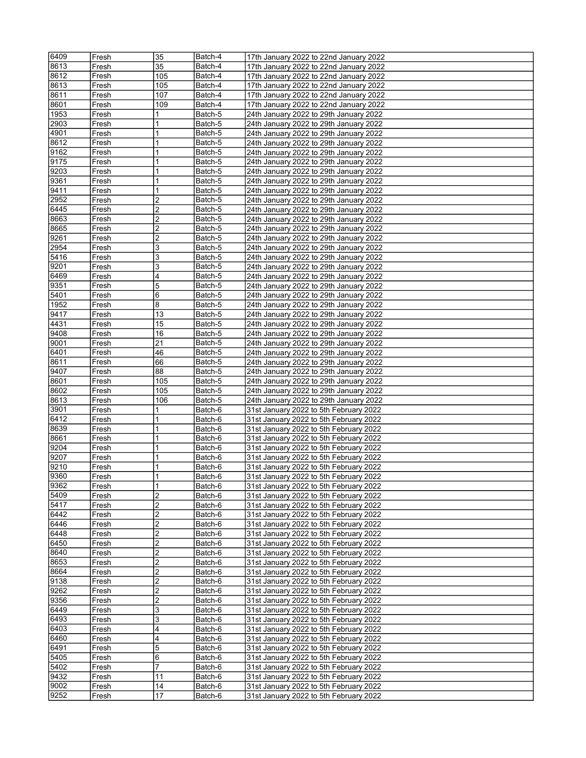| 6409         | Fresh          | 35             | Batch-4            | 17th January 2022 to 22nd January 2022                                           |
|--------------|----------------|----------------|--------------------|----------------------------------------------------------------------------------|
| 8613         | Fresh          | 35             | Batch-4            | 17th January 2022 to 22nd January 2022                                           |
| 8612         |                |                | Batch-4            |                                                                                  |
|              | Fresh          | 105            |                    | 17th January 2022 to 22nd January 2022                                           |
| 8613         | Fresh          | 105            | Batch-4            | 17th January 2022 to 22nd January 2022                                           |
| 8611         | Fresh          | 107            | Batch-4            | 17th January 2022 to 22nd January 2022                                           |
| 8601         | Fresh          | 109            | Batch-4            | 17th January 2022 to 22nd January 2022                                           |
| 1953         | Fresh          | 1              | Batch-5            | 24th January 2022 to 29th January 2022                                           |
| 2903         | Fresh          | 1              | Batch-5            | 24th January 2022 to 29th January 2022                                           |
| 4901         | Fresh          | 1              | Batch-5            | 24th January 2022 to 29th January 2022                                           |
| 8612         | Fresh          | 1              | Batch-5            | 24th January 2022 to 29th January 2022                                           |
| 9162         | Fresh          | 1              | Batch-5            | 24th January 2022 to 29th January 2022                                           |
| 9175         | Fresh          | 1              | Batch-5            | 24th January 2022 to 29th January 2022                                           |
|              |                |                |                    |                                                                                  |
| 9203         | Fresh          | 1              | Batch-5            | 24th January 2022 to 29th January 2022                                           |
| 9361         | Fresh          | 1              | Batch-5            | 24th January 2022 to 29th January 2022                                           |
| 9411         | Fresh          | 1              | Batch-5            | 24th January 2022 to 29th January 2022                                           |
| 2952         | Fresh          | 2              | Batch-5            | 24th January 2022 to 29th January 2022                                           |
| 6445         | Fresh          | 2              | Batch-5            | 24th January 2022 to 29th January 2022                                           |
| 8663         | Fresh          | 2              | Batch-5            | 24th January 2022 to 29th January 2022                                           |
| 8665         | Fresh          | 2              | Batch-5            | 24th January 2022 to 29th January 2022                                           |
| 9261         | Fresh          | 2              | Batch-5            | 24th January 2022 to 29th January 2022                                           |
| 2954         | Fresh          | 3              | Batch-5            | 24th January 2022 to 29th January 2022                                           |
|              |                |                |                    |                                                                                  |
| 5416         | Fresh          | 3              | Batch-5            | 24th January 2022 to 29th January 2022                                           |
| 9201         | Fresh          | 3              | Batch-5            | 24th January 2022 to 29th January 2022                                           |
| 6469         | Fresh          | 4              | Batch-5            | 24th January 2022 to 29th January 2022                                           |
| 9351         | Fresh          | 5              | Batch-5            | 24th January 2022 to 29th January 2022                                           |
| 5401         | Fresh          | 6              | Batch-5            | 24th January 2022 to 29th January 2022                                           |
| 1952         | Fresh          | 8              | Batch-5            | 24th January 2022 to 29th January 2022                                           |
| 9417         | Fresh          | 13             | Batch-5            | 24th January 2022 to 29th January 2022                                           |
| 4431         | Fresh          | 15             | Batch-5            | 24th January 2022 to 29th January 2022                                           |
| 9408         | Fresh          | 16             | Batch-5            |                                                                                  |
|              |                |                |                    | 24th January 2022 to 29th January 2022                                           |
| 9001         | Fresh          | 21             | Batch-5            | 24th January 2022 to 29th January 2022                                           |
| 6401         | Fresh          | 46             | Batch-5            | 24th January 2022 to 29th January 2022                                           |
| 8611         | Fresh          | 66             | Batch-5            | 24th January 2022 to 29th January 2022                                           |
| 9407         | Fresh          | 88             | Batch-5            | 24th January 2022 to 29th January 2022                                           |
| 8601         | Fresh          | 105            | Batch-5            | 24th January 2022 to 29th January 2022                                           |
| 8602         | Fresh          | 105            | Batch-5            | 24th January 2022 to 29th January 2022                                           |
| 8613         | Fresh          | 106            | Batch-5            | 24th January 2022 to 29th January 2022                                           |
| 3901         | Fresh          | 1              | Batch-6            | 31st January 2022 to 5th February 2022                                           |
| 6412         | Fresh          | 1              | Batch-6            |                                                                                  |
|              |                |                |                    | 31st January 2022 to 5th February 2022                                           |
| 8639         | Fresh          | 1              | Batch-6            | 31st January 2022 to 5th February 2022                                           |
| 8661         | Fresh          | 1              | Batch-6            | 31st January 2022 to 5th February 2022                                           |
| 9204         | Fresh          | 1              | Batch-6            | 31st January 2022 to 5th February 2022                                           |
| 9207         | Fresh          | 1              | Batch-6            | 31st January 2022 to 5th February 2022                                           |
| 9210         | Fresh          | 1              | Batch-6            | 31st January 2022 to 5th February 2022                                           |
| 9360         | Fresh          | $\mathbf{1}$   | Batch-6            | 31st January 2022 to 5th February 2022                                           |
| 9362         | Fresh          | 1              | Batch-6            | 31st January 2022 to 5th February 2022                                           |
| 5409         | Fresh          | 2              | Batch-6            | 31st January 2022 to 5th February 2022                                           |
| 5417         | Fresh          | 2              | Batch-6            | 31st January 2022 to 5th February 2022                                           |
| 6442         |                | $\overline{2}$ |                    |                                                                                  |
|              | Fresh          |                | Batch-6            | 31st January 2022 to 5th February 2022                                           |
| 6446         | Fresh          | 2              | Batch-6            | 31st January 2022 to 5th February 2022                                           |
| 6448         | Fresh          | 2              | Batch-6            | 31st January 2022 to 5th February 2022                                           |
| 6450         | Fresh          | $\overline{c}$ | Batch-6            | 31st January 2022 to 5th February 2022                                           |
| 8640         | Fresh          | 2              | Batch-6            | 31st January 2022 to 5th February 2022                                           |
| 8653         | Fresh          | 2              | Batch-6            | 31st January 2022 to 5th February 2022                                           |
| 8664         | Fresh          | 2              | Batch-6            | 31st January 2022 to 5th February 2022                                           |
| 9138         | Fresh          | $\overline{c}$ | Batch-6            | 31st January 2022 to 5th February 2022                                           |
| 9262         | Fresh          | 2              | Batch-6            | 31st January 2022 to 5th February 2022                                           |
| 9356         | Fresh          | $\overline{2}$ | Batch-6            | 31st January 2022 to 5th February 2022                                           |
| 6449         |                | 3              | Batch-6            | 31st January 2022 to 5th February 2022                                           |
|              | Fresh          |                |                    |                                                                                  |
| 6493         | Fresh          | 3              | Batch-6            | 31st January 2022 to 5th February 2022                                           |
| 6403         | Fresh          | 4              | Batch-6            | 31st January 2022 to 5th February 2022                                           |
| 6460         | Fresh          | 4              | Batch-6            | 31st January 2022 to 5th February 2022                                           |
| 6491         | Fresh          | 5              | Batch-6            | 31st January 2022 to 5th February 2022                                           |
| 5405         | Fresh          | 6              | Batch-6            | 31st January 2022 to 5th February 2022                                           |
| 5402         | Fresh          | 7              | Batch-6            | 31st January 2022 to 5th February 2022                                           |
| 9432         | Fresh          | 11             | Batch-6            | 31st January 2022 to 5th February 2022                                           |
|              |                |                |                    |                                                                                  |
|              |                |                |                    |                                                                                  |
| 9002<br>9252 | Fresh<br>Fresh | 14<br>17       | Batch-6<br>Batch-6 | 31st January 2022 to 5th February 2022<br>31st January 2022 to 5th February 2022 |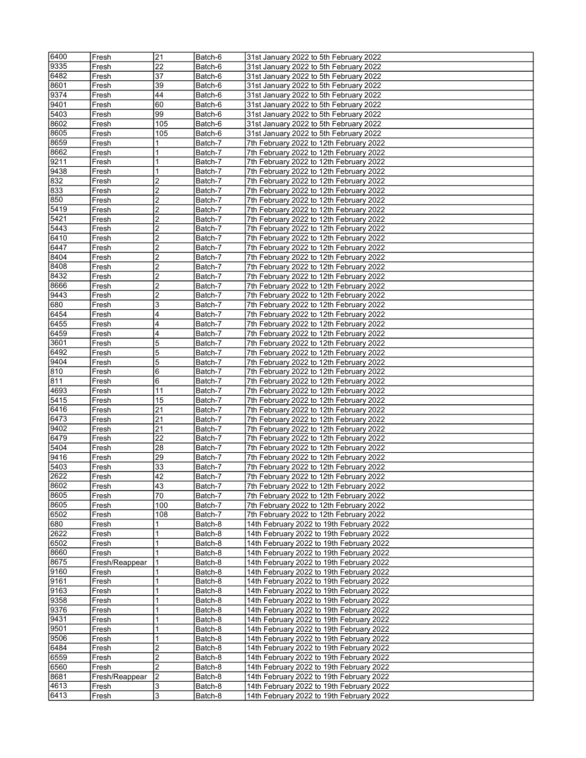| 6400 | Fresh          | 21           | Batch-6 | 31st January 2022 to 5th February 2022   |
|------|----------------|--------------|---------|------------------------------------------|
| 9335 | Fresh          | 22           | Batch-6 | 31st January 2022 to 5th February 2022   |
|      |                |              |         |                                          |
| 6482 | Fresh          | 37           | Batch-6 | 31st January 2022 to 5th February 2022   |
| 8601 | Fresh          | 39           | Batch-6 | 31st January 2022 to 5th February 2022   |
| 9374 | Fresh          | 44           | Batch-6 | 31st January 2022 to 5th February 2022   |
| 9401 | Fresh          | 60           | Batch-6 | 31st January 2022 to 5th February 2022   |
| 5403 | Fresh          | 99           | Batch-6 | 31st January 2022 to 5th February 2022   |
| 8602 | Fresh          | 105          | Batch-6 | 31st January 2022 to 5th February 2022   |
| 8605 | Fresh          | 105          | Batch-6 | 31st January 2022 to 5th February 2022   |
| 8659 | Fresh          | 1            | Batch-7 | 7th February 2022 to 12th February 2022  |
| 8662 | Fresh          | 1            | Batch-7 | 7th February 2022 to 12th February 2022  |
| 9211 |                | 1            |         |                                          |
|      | Fresh          |              | Batch-7 | 7th February 2022 to 12th February 2022  |
| 9438 | Fresh          | 1            | Batch-7 | 7th February 2022 to 12th February 2022  |
| 832  | Fresh          | 2            | Batch-7 | 7th February 2022 to 12th February 2022  |
| 833  | Fresh          | 2            | Batch-7 | 7th February 2022 to 12th February 2022  |
| 850  | Fresh          | 2            | Batch-7 | 7th February 2022 to 12th February 2022  |
| 5419 | Fresh          | 2            | Batch-7 | 7th February 2022 to 12th February 2022  |
| 5421 | Fresh          | 2            | Batch-7 | 7th February 2022 to 12th February 2022  |
| 5443 | Fresh          | 2            | Batch-7 | 7th February 2022 to 12th February 2022  |
| 6410 | Fresh          | 2            | Batch-7 | 7th February 2022 to 12th February 2022  |
| 6447 |                | 2            |         | 7th February 2022 to 12th February 2022  |
|      | Fresh          |              | Batch-7 |                                          |
| 8404 | Fresh          | 2            | Batch-7 | 7th February 2022 to 12th February 2022  |
| 8408 | Fresh          | 2            | Batch-7 | 7th February 2022 to 12th February 2022  |
| 8432 | Fresh          | 2            | Batch-7 | 7th February 2022 to 12th February 2022  |
| 8666 | Fresh          | 2            | Batch-7 | 7th February 2022 to 12th February 2022  |
| 9443 | Fresh          | 2            | Batch-7 | 7th February 2022 to 12th February 2022  |
| 680  | Fresh          | 3            | Batch-7 | 7th February 2022 to 12th February 2022  |
| 6454 | Fresh          | 4            | Batch-7 | 7th February 2022 to 12th February 2022  |
| 6455 | Fresh          | 4            | Batch-7 | 7th February 2022 to 12th February 2022  |
| 6459 |                | 4            |         | 7th February 2022 to 12th February 2022  |
|      | Fresh          |              | Batch-7 |                                          |
| 3601 | Fresh          | 5            | Batch-7 | 7th February 2022 to 12th February 2022  |
| 6492 | Fresh          | 5            | Batch-7 | 7th February 2022 to 12th February 2022  |
| 9404 | Fresh          | 5            | Batch-7 | 7th February 2022 to 12th February 2022  |
| 810  | Fresh          | 6            | Batch-7 | 7th February 2022 to 12th February 2022  |
| 811  | Fresh          | 6            | Batch-7 | 7th February 2022 to 12th February 2022  |
| 4693 | Fresh          | 11           | Batch-7 | 7th February 2022 to 12th February 2022  |
| 5415 | Fresh          | 15           | Batch-7 | 7th February 2022 to 12th February 2022  |
| 6416 | Fresh          | 21           | Batch-7 | 7th February 2022 to 12th February 2022  |
| 6473 | Fresh          | 21           | Batch-7 | 7th February 2022 to 12th February 2022  |
| 9402 |                |              |         |                                          |
|      | Fresh          | 21           | Batch-7 | 7th February 2022 to 12th February 2022  |
| 6479 | Fresh          | 22           | Batch-7 | 7th February 2022 to 12th February 2022  |
| 5404 | Fresh          | 28           | Batch-7 | 7th February 2022 to 12th February 2022  |
| 9416 | Fresh          | 29           | Batch-7 | 7th February 2022 to 12th February 2022  |
| 5403 | Fresh          | 33           | Batch-7 | 7th February 2022 to 12th February 2022  |
| 2622 | Fresh          | 42           | Batch-7 | 7th February 2022 to 12th February 2022  |
| 8602 | Fresh          | 43           | Batch-7 | 7th February 2022 to 12th February 2022  |
| 8605 | Fresh          | 70           | Batch-7 | 7th February 2022 to 12th February 2022  |
| 8605 | Fresh          | 100          | Batch-7 | 7th February 2022 to 12th February 2022  |
| 6502 |                | 108          | Batch-7 | 7th February 2022 to 12th February 2022  |
|      | Fresh          |              |         |                                          |
| 680  | Fresh          | 1            | Batch-8 | 14th February 2022 to 19th February 2022 |
| 2622 | Fresh          | $\mathbf{1}$ | Batch-8 | 14th February 2022 to 19th February 2022 |
| 6502 | Fresh          | 1            | Batch-8 | 14th February 2022 to 19th February 2022 |
| 8660 | Fresh          | 1            | Batch-8 | 14th February 2022 to 19th February 2022 |
| 8675 | Fresh/Reappear | 1            | Batch-8 | 14th February 2022 to 19th February 2022 |
| 9160 | Fresh          | 1            | Batch-8 | 14th February 2022 to 19th February 2022 |
| 9161 | Fresh          | $\mathbf{1}$ | Batch-8 | 14th February 2022 to 19th February 2022 |
| 9163 | Fresh          | 1            | Batch-8 | 14th February 2022 to 19th February 2022 |
| 9358 | Fresh          | 1            | Batch-8 | 14th February 2022 to 19th February 2022 |
| 9376 |                | 1            | Batch-8 | 14th February 2022 to 19th February 2022 |
|      | Fresh          |              |         |                                          |
| 9431 | Fresh          | 1            | Batch-8 | 14th February 2022 to 19th February 2022 |
| 9501 | Fresh          | 1            | Batch-8 | 14th February 2022 to 19th February 2022 |
| 9506 | Fresh          | 1            | Batch-8 | 14th February 2022 to 19th February 2022 |
| 6484 | Fresh          | 2            | Batch-8 | 14th February 2022 to 19th February 2022 |
| 6559 | Fresh          | 2            | Batch-8 | 14th February 2022 to 19th February 2022 |
| 6560 | Fresh          | 2            | Batch-8 | 14th February 2022 to 19th February 2022 |
| 8681 | Fresh/Reappear | 2            | Batch-8 | 14th February 2022 to 19th February 2022 |
| 4613 | Fresh          | 3            | Batch-8 | 14th February 2022 to 19th February 2022 |
| 6413 | Fresh          | 3            | Batch-8 | 14th February 2022 to 19th February 2022 |
|      |                |              |         |                                          |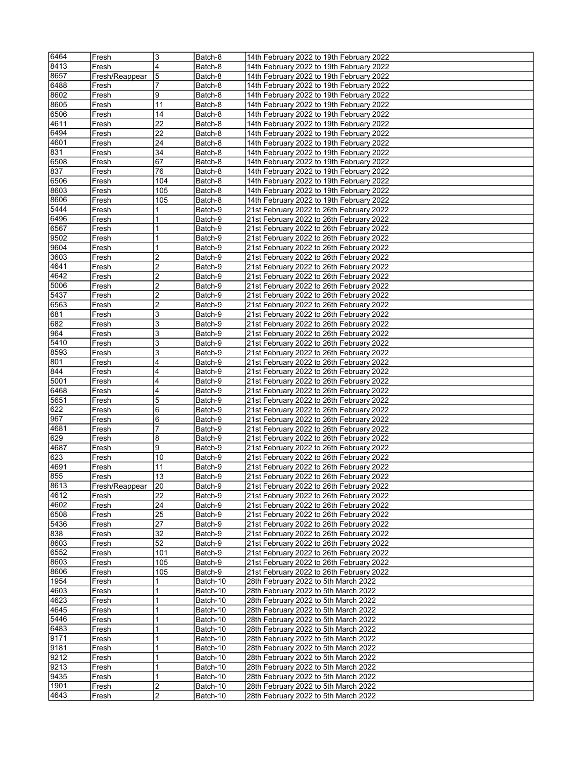| 6464 | Fresh          | 3   | Batch-8  | 14th February 2022 to 19th February 2022 |
|------|----------------|-----|----------|------------------------------------------|
| 8413 | Fresh          | 4   | Batch-8  | 14th February 2022 to 19th February 2022 |
| 8657 |                | 5   |          |                                          |
|      | Fresh/Reappear |     | Batch-8  | 14th February 2022 to 19th February 2022 |
| 6488 | Fresh          | 7   | Batch-8  | 14th February 2022 to 19th February 2022 |
| 8602 | Fresh          | 9   | Batch-8  | 14th February 2022 to 19th February 2022 |
| 8605 | Fresh          | 11  | Batch-8  | 14th February 2022 to 19th February 2022 |
| 6506 | Fresh          | 14  | Batch-8  | 14th February 2022 to 19th February 2022 |
| 4611 | Fresh          | 22  | Batch-8  | 14th February 2022 to 19th February 2022 |
| 6494 | Fresh          | 22  | Batch-8  | 14th February 2022 to 19th February 2022 |
| 4601 | Fresh          | 24  | Batch-8  | 14th February 2022 to 19th February 2022 |
| 831  | Fresh          | 34  | Batch-8  | 14th February 2022 to 19th February 2022 |
| 6508 | Fresh          | 67  | Batch-8  | 14th February 2022 to 19th February 2022 |
| 837  | Fresh          | 76  | Batch-8  | 14th February 2022 to 19th February 2022 |
| 6506 | Fresh          | 104 | Batch-8  | 14th February 2022 to 19th February 2022 |
| 8603 | Fresh          | 105 | Batch-8  | 14th February 2022 to 19th February 2022 |
| 8606 | Fresh          | 105 | Batch-8  | 14th February 2022 to 19th February 2022 |
| 5444 | Fresh          | 1   | Batch-9  | 21st February 2022 to 26th February 2022 |
| 6496 | Fresh          | 1   | Batch-9  | 21st February 2022 to 26th February 2022 |
| 6567 | Fresh          | 1   | Batch-9  | 21st February 2022 to 26th February 2022 |
| 9502 | Fresh          | 1   | Batch-9  | 21st February 2022 to 26th February 2022 |
| 9604 | Fresh          | 1   | Batch-9  | 21st February 2022 to 26th February 2022 |
|      |                |     |          |                                          |
| 3603 | Fresh          | 2   | Batch-9  | 21st February 2022 to 26th February 2022 |
| 4641 | Fresh          | 2   | Batch-9  | 21st February 2022 to 26th February 2022 |
| 4642 | Fresh          | 2   | Batch-9  | 21st February 2022 to 26th February 2022 |
| 5006 | Fresh          | 2   | Batch-9  | 21st February 2022 to 26th February 2022 |
| 5437 | Fresh          | 2   | Batch-9  | 21st February 2022 to 26th February 2022 |
| 6563 | Fresh          | 2   | Batch-9  | 21st February 2022 to 26th February 2022 |
| 681  | Fresh          | 3   | Batch-9  | 21st February 2022 to 26th February 2022 |
| 682  | Fresh          | 3   | Batch-9  | 21st February 2022 to 26th February 2022 |
| 964  | Fresh          | 3   | Batch-9  | 21st February 2022 to 26th February 2022 |
| 5410 | Fresh          | 3   | Batch-9  | 21st February 2022 to 26th February 2022 |
| 8593 | Fresh          | 3   | Batch-9  | 21st February 2022 to 26th February 2022 |
| 801  | Fresh          | 4   | Batch-9  | 21st February 2022 to 26th February 2022 |
| 844  | Fresh          | 4   | Batch-9  | 21st February 2022 to 26th February 2022 |
| 5001 | Fresh          | 4   | Batch-9  | 21st February 2022 to 26th February 2022 |
| 6468 | Fresh          | 4   | Batch-9  | 21st February 2022 to 26th February 2022 |
| 5651 | Fresh          | 5   | Batch-9  | 21st February 2022 to 26th February 2022 |
| 622  | Fresh          | 6   | Batch-9  | 21st February 2022 to 26th February 2022 |
| 967  | Fresh          | 6   | Batch-9  | 21st February 2022 to 26th February 2022 |
| 4681 | Fresh          | 7   | Batch-9  | 21st February 2022 to 26th February 2022 |
| 629  | Fresh          | 8   | Batch-9  | 21st February 2022 to 26th February 2022 |
| 4687 | Fresh          | 9   | Batch-9  | 21st February 2022 to 26th February 2022 |
| 623  | Fresh          | 10  | Batch-9  | 21st February 2022 to 26th February 2022 |
| 4691 | Fresh          | 11  | Batch-9  | 21st February 2022 to 26th February 2022 |
| 855  | Fresh          | 13  | Batch-9  | 21st February 2022 to 26th February 2022 |
| 8613 |                | 20  |          | 21st February 2022 to 26th February 2022 |
|      | Fresh/Reappear |     | Batch-9  |                                          |
| 4612 | Fresh          | 22  | Batch-9  | 21st February 2022 to 26th February 2022 |
| 4602 | Fresh          | 24  | Batch-9  | 21st February 2022 to 26th February 2022 |
| 6508 | Fresh          | 25  | Batch-9  | 21st February 2022 to 26th February 2022 |
| 5436 | Fresh          | 27  | Batch-9  | 21st February 2022 to 26th February 2022 |
| 838  | Fresh          | 32  | Batch-9  | 21st February 2022 to 26th February 2022 |
| 8603 | Fresh          | 52  | Batch-9  | 21st February 2022 to 26th February 2022 |
| 6552 | Fresh          | 101 | Batch-9  | 21st February 2022 to 26th February 2022 |
| 8603 | Fresh          | 105 | Batch-9  | 21st February 2022 to 26th February 2022 |
| 8606 | Fresh          | 105 | Batch-9  | 21st February 2022 to 26th February 2022 |
| 1954 | Fresh          | 1   | Batch-10 | 28th February 2022 to 5th March 2022     |
| 4603 | Fresh          | 1   | Batch-10 | 28th February 2022 to 5th March 2022     |
| 4623 | Fresh          | 1   | Batch-10 | 28th February 2022 to 5th March 2022     |
| 4645 | Fresh          | 1   | Batch-10 | 28th February 2022 to 5th March 2022     |
| 5446 | Fresh          | 1   | Batch-10 | 28th February 2022 to 5th March 2022     |
| 6483 | Fresh          | 1   | Batch-10 | 28th February 2022 to 5th March 2022     |
| 9171 | Fresh          | 1   | Batch-10 | 28th February 2022 to 5th March 2022     |
| 9181 | Fresh          | 1   | Batch-10 | 28th February 2022 to 5th March 2022     |
| 9212 | Fresh          | 1   | Batch-10 | 28th February 2022 to 5th March 2022     |
| 9213 | Fresh          | 1   | Batch-10 | 28th February 2022 to 5th March 2022     |
| 9435 | Fresh          | 1   | Batch-10 | 28th February 2022 to 5th March 2022     |
| 1901 | Fresh          | 2   | Batch-10 | 28th February 2022 to 5th March 2022     |
| 4643 | Fresh          | 2   | Batch-10 | 28th February 2022 to 5th March 2022     |
|      |                |     |          |                                          |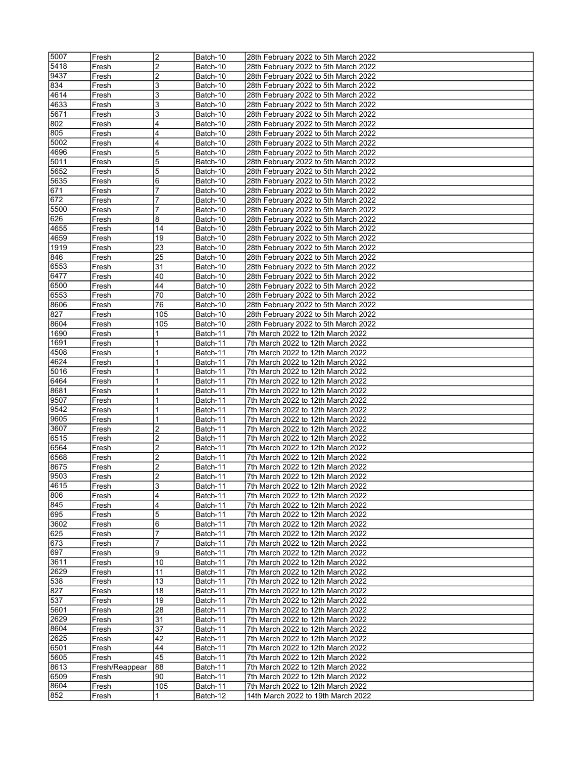| 5007 | Fresh          | 2              | Batch-10 | 28th February 2022 to 5th March 2022 |
|------|----------------|----------------|----------|--------------------------------------|
|      |                |                |          |                                      |
| 5418 | Fresh          | $\overline{2}$ | Batch-10 | 28th February 2022 to 5th March 2022 |
| 9437 | Fresh          | 2              | Batch-10 | 28th February 2022 to 5th March 2022 |
| 834  | Fresh          | 3              | Batch-10 | 28th February 2022 to 5th March 2022 |
| 4614 | Fresh          | 3              | Batch-10 | 28th February 2022 to 5th March 2022 |
| 4633 |                |                |          |                                      |
|      | Fresh          | 3              | Batch-10 | 28th February 2022 to 5th March 2022 |
| 5671 | Fresh          | 3              | Batch-10 | 28th February 2022 to 5th March 2022 |
| 802  | Fresh          | 4              | Batch-10 | 28th February 2022 to 5th March 2022 |
| 805  | Fresh          | 4              | Batch-10 | 28th February 2022 to 5th March 2022 |
| 5002 |                | $\overline{4}$ |          |                                      |
|      | Fresh          |                | Batch-10 | 28th February 2022 to 5th March 2022 |
| 4696 | Fresh          | 5              | Batch-10 | 28th February 2022 to 5th March 2022 |
| 5011 | Fresh          | 5              | Batch-10 | 28th February 2022 to 5th March 2022 |
| 5652 | Fresh          | 5              | Batch-10 | 28th February 2022 to 5th March 2022 |
| 5635 |                | 6              |          |                                      |
|      | Fresh          |                | Batch-10 | 28th February 2022 to 5th March 2022 |
| 671  | Fresh          |                | Batch-10 | 28th February 2022 to 5th March 2022 |
| 672  | Fresh          | 7              | Batch-10 | 28th February 2022 to 5th March 2022 |
| 5500 | Fresh          | 7              | Batch-10 | 28th February 2022 to 5th March 2022 |
|      |                |                |          |                                      |
| 626  | Fresh          | 8              | Batch-10 | 28th February 2022 to 5th March 2022 |
| 4655 | Fresh          | 14             | Batch-10 | 28th February 2022 to 5th March 2022 |
| 4659 | Fresh          | 19             | Batch-10 | 28th February 2022 to 5th March 2022 |
| 1919 | Fresh          | 23             | Batch-10 | 28th February 2022 to 5th March 2022 |
|      |                |                |          |                                      |
| 846  | Fresh          | 25             | Batch-10 | 28th February 2022 to 5th March 2022 |
| 6553 | Fresh          | 31             | Batch-10 | 28th February 2022 to 5th March 2022 |
| 6477 | Fresh          | 40             | Batch-10 | 28th February 2022 to 5th March 2022 |
| 6500 | Fresh          | 44             | Batch-10 | 28th February 2022 to 5th March 2022 |
| 6553 |                | 70             |          | 28th February 2022 to 5th March 2022 |
|      | Fresh          |                | Batch-10 |                                      |
| 8606 | Fresh          | 76             | Batch-10 | 28th February 2022 to 5th March 2022 |
| 827  | Fresh          | 105            | Batch-10 | 28th February 2022 to 5th March 2022 |
| 8604 | Fresh          | 105            | Batch-10 | 28th February 2022 to 5th March 2022 |
|      |                |                |          |                                      |
| 1690 | Fresh          | 1              | Batch-11 | 7th March 2022 to 12th March 2022    |
| 1691 | Fresh          | 1              | Batch-11 | 7th March 2022 to 12th March 2022    |
| 4508 | Fresh          | 1              | Batch-11 | 7th March 2022 to 12th March 2022    |
| 4624 | Fresh          | 1              | Batch-11 | 7th March 2022 to 12th March 2022    |
|      |                |                |          |                                      |
| 5016 | Fresh          |                | Batch-11 | 7th March 2022 to 12th March 2022    |
| 6464 | Fresh          | 1              | Batch-11 | 7th March 2022 to 12th March 2022    |
| 8681 | Fresh          | 1              | Batch-11 | 7th March 2022 to 12th March 2022    |
| 9507 | Fresh          |                | Batch-11 | 7th March 2022 to 12th March 2022    |
|      |                |                |          |                                      |
| 9542 | Fresh          | 1              | Batch-11 | 7th March 2022 to 12th March 2022    |
| 9605 | Fresh          | 1              | Batch-11 | 7th March 2022 to 12th March 2022    |
| 3607 | Fresh          | 2              | Batch-11 | 7th March 2022 to 12th March 2022    |
| 6515 | Fresh          | $\overline{2}$ | Batch-11 | 7th March 2022 to 12th March 2022    |
|      |                |                |          |                                      |
| 6564 | Fresh          | 2              | Batch-11 | 7th March 2022 to 12th March 2022    |
| 6568 | Fresh          | 2              | Batch-11 | 7th March 2022 to 12th March 2022    |
| 8675 | Fresh          | $\overline{2}$ | Batch-11 | 7th March 2022 to 12th March 2022    |
| 9503 | Fresh          | $\overline{2}$ | Batch-11 | 7th March 2022 to 12th March 2022    |
|      |                |                |          |                                      |
| 4615 | Fresh          | 3              | Batch-11 | 7th March 2022 to 12th March 2022    |
| 806  | Fresh          | 4              | Batch-11 | 7th March 2022 to 12th March 2022    |
| 845  | Fresh          | 4              | Batch-11 | 7th March 2022 to 12th March 2022    |
| 695  | Fresh          | 5              | Batch-11 | 7th March 2022 to 12th March 2022    |
|      |                |                |          |                                      |
| 3602 | Fresh          | 6              | Batch-11 | 7th March 2022 to 12th March 2022    |
| 625  | Fresh          | 7              | Batch-11 | 7th March 2022 to 12th March 2022    |
| 673  | Fresh          | 7              | Batch-11 | 7th March 2022 to 12th March 2022    |
| 697  | Fresh          | 9              | Batch-11 | 7th March 2022 to 12th March 2022    |
|      |                |                |          |                                      |
| 3611 | Fresh          | 10             | Batch-11 | 7th March 2022 to 12th March 2022    |
| 2629 | Fresh          | 11             | Batch-11 | 7th March 2022 to 12th March 2022    |
| 538  | Fresh          | 13             | Batch-11 | 7th March 2022 to 12th March 2022    |
| 827  | Fresh          | 18             | Batch-11 | 7th March 2022 to 12th March 2022    |
| 537  |                | 19             | Batch-11 | 7th March 2022 to 12th March 2022    |
|      | Fresh          |                |          |                                      |
| 5601 | Fresh          | 28             | Batch-11 | 7th March 2022 to 12th March 2022    |
| 2629 | Fresh          | 31             | Batch-11 | 7th March 2022 to 12th March 2022    |
| 8604 | Fresh          | 37             | Batch-11 | 7th March 2022 to 12th March 2022    |
| 2625 |                | 42             |          | 7th March 2022 to 12th March 2022    |
|      | Fresh          |                | Batch-11 |                                      |
| 6501 | Fresh          | 44             | Batch-11 | 7th March 2022 to 12th March 2022    |
| 5605 | Fresh          | 45             | Batch-11 | 7th March 2022 to 12th March 2022    |
| 8613 | Fresh/Reappear | 88             | Batch-11 | 7th March 2022 to 12th March 2022    |
| 6509 |                | 90             |          |                                      |
|      | Fresh          |                | Batch-11 | 7th March 2022 to 12th March 2022    |
| 8604 | Fresh          | 105            | Batch-11 | 7th March 2022 to 12th March 2022    |
| 852  | Fresh          |                | Batch-12 | 14th March 2022 to 19th March 2022   |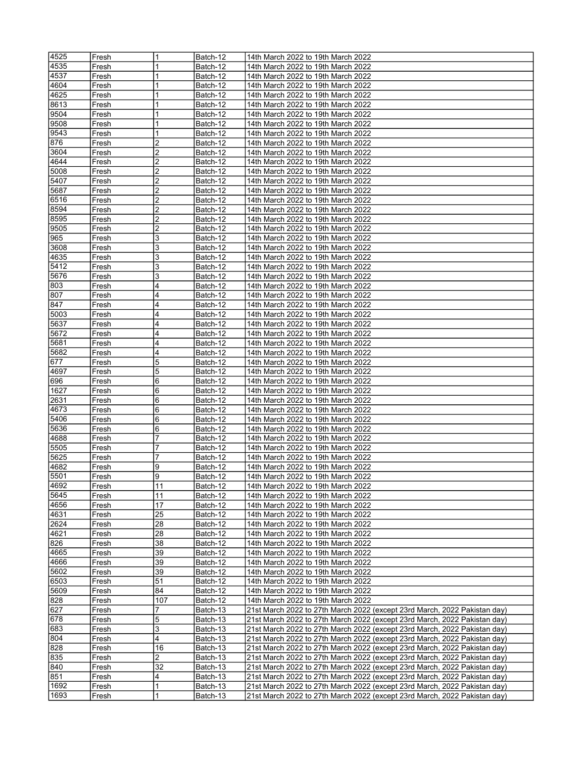| 4525 | Fresh | 1              | Batch-12 | 14th March 2022 to 19th March 2022                                        |
|------|-------|----------------|----------|---------------------------------------------------------------------------|
| 4535 | Fresh |                | Batch-12 | 14th March 2022 to 19th March 2022                                        |
| 4537 |       | 1              |          | 14th March 2022 to 19th March 2022                                        |
|      | Fresh | 1              | Batch-12 |                                                                           |
| 4604 | Fresh |                | Batch-12 | 14th March 2022 to 19th March 2022                                        |
| 4625 | Fresh | 1              | Batch-12 | 14th March 2022 to 19th March 2022                                        |
| 8613 | Fresh | 1              | Batch-12 | 14th March 2022 to 19th March 2022                                        |
| 9504 | Fresh | 1              | Batch-12 | 14th March 2022 to 19th March 2022                                        |
| 9508 | Fresh | 1              | Batch-12 | 14th March 2022 to 19th March 2022                                        |
| 9543 | Fresh | 1              | Batch-12 | 14th March 2022 to 19th March 2022                                        |
| 876  | Fresh | $\overline{2}$ | Batch-12 | 14th March 2022 to 19th March 2022                                        |
| 3604 | Fresh | 2              | Batch-12 | 14th March 2022 to 19th March 2022                                        |
| 4644 | Fresh | 2              | Batch-12 | 14th March 2022 to 19th March 2022                                        |
| 5008 | Fresh | $\overline{2}$ | Batch-12 | 14th March 2022 to 19th March 2022                                        |
| 5407 | Fresh | 2              | Batch-12 | 14th March 2022 to 19th March 2022                                        |
| 5687 | Fresh | 2              | Batch-12 | 14th March 2022 to 19th March 2022                                        |
| 6516 | Fresh | 2              | Batch-12 | 14th March 2022 to 19th March 2022                                        |
| 8594 |       | 2              |          |                                                                           |
|      | Fresh |                | Batch-12 | 14th March 2022 to 19th March 2022                                        |
| 8595 | Fresh | 2              | Batch-12 | 14th March 2022 to 19th March 2022                                        |
| 9505 | Fresh | 2              | Batch-12 | 14th March 2022 to 19th March 2022                                        |
| 965  | Fresh | 3              | Batch-12 | 14th March 2022 to 19th March 2022                                        |
| 3608 | Fresh | 3              | Batch-12 | 14th March 2022 to 19th March 2022                                        |
| 4635 | Fresh | 3              | Batch-12 | 14th March 2022 to 19th March 2022                                        |
| 5412 | Fresh | 3              | Batch-12 | 14th March 2022 to 19th March 2022                                        |
| 5676 | Fresh | 3              | Batch-12 | 14th March 2022 to 19th March 2022                                        |
| 803  | Fresh | 4              | Batch-12 | 14th March 2022 to 19th March 2022                                        |
| 807  | Fresh | 4              | Batch-12 | 14th March 2022 to 19th March 2022                                        |
| 847  | Fresh | 4              | Batch-12 | 14th March 2022 to 19th March 2022                                        |
| 5003 | Fresh | 4              | Batch-12 | 14th March 2022 to 19th March 2022                                        |
| 5637 | Fresh | 4              | Batch-12 | 14th March 2022 to 19th March 2022                                        |
| 5672 | Fresh | 4              | Batch-12 | 14th March 2022 to 19th March 2022                                        |
| 5681 | Fresh | 4              | Batch-12 | 14th March 2022 to 19th March 2022                                        |
| 5682 | Fresh | 4              | Batch-12 | 14th March 2022 to 19th March 2022                                        |
|      |       | 5              |          |                                                                           |
| 677  | Fresh |                | Batch-12 | 14th March 2022 to 19th March 2022                                        |
| 4697 | Fresh | 5              | Batch-12 | 14th March 2022 to 19th March 2022                                        |
| 696  | Fresh | 6              | Batch-12 | 14th March 2022 to 19th March 2022                                        |
| 1627 | Fresh | 6              | Batch-12 | 14th March 2022 to 19th March 2022                                        |
| 2631 | Fresh | 6              | Batch-12 | 14th March 2022 to 19th March 2022                                        |
| 4673 | Fresh | 6              | Batch-12 | 14th March 2022 to 19th March 2022                                        |
| 5406 | Fresh | 6              | Batch-12 | 14th March 2022 to 19th March 2022                                        |
| 5636 | Fresh | 6              | Batch-12 | 14th March 2022 to 19th March 2022                                        |
| 4688 | Fresh | 7              | Batch-12 | 14th March 2022 to 19th March 2022                                        |
| 5505 | Fresh | 7              | Batch-12 | 14th March 2022 to 19th March 2022                                        |
| 5625 | Fresh |                | Batch-12 | 14th March 2022 to 19th March 2022                                        |
| 4682 | Fresh | 9              | Batch-12 | 14th March 2022 to 19th March 2022                                        |
| 5501 | Fresh | 9              | Batch-12 | 14th March 2022 to 19th March 2022                                        |
| 4692 | Fresh | 11             | Batch-12 | 14th March 2022 to 19th March 2022                                        |
| 5645 | Fresh | 11             | Batch-12 | 14th March 2022 to 19th March 2022                                        |
| 4656 | Fresh | 17             | Batch-12 | 14th March 2022 to 19th March 2022                                        |
| 4631 | Fresh | 25             | Batch-12 | 14th March 2022 to 19th March 2022                                        |
|      |       |                |          |                                                                           |
| 2624 | Fresh | 28             | Batch-12 | 14th March 2022 to 19th March 2022                                        |
| 4621 | Fresh | 28             | Batch-12 | 14th March 2022 to 19th March 2022                                        |
| 826  | Fresh | 38             | Batch-12 | 14th March 2022 to 19th March 2022                                        |
| 4665 | Fresh | 39             | Batch-12 | 14th March 2022 to 19th March 2022                                        |
| 4666 | Fresh | 39             | Batch-12 | 14th March 2022 to 19th March 2022                                        |
| 5602 | Fresh | 39             | Batch-12 | 14th March 2022 to 19th March 2022                                        |
| 6503 | Fresh | 51             | Batch-12 | 14th March 2022 to 19th March 2022                                        |
| 5609 | Fresh | 84             | Batch-12 | 14th March 2022 to 19th March 2022                                        |
| 828  | Fresh | 107            | Batch-12 | 14th March 2022 to 19th March 2022                                        |
| 627  | Fresh | 7              | Batch-13 | 21st March 2022 to 27th March 2022 (except 23rd March, 2022 Pakistan day) |
| 678  | Fresh | 5              | Batch-13 | 21st March 2022 to 27th March 2022 (except 23rd March, 2022 Pakistan day) |
| 683  | Fresh | 3              | Batch-13 | 21st March 2022 to 27th March 2022 (except 23rd March, 2022 Pakistan day) |
| 804  | Fresh | 4              | Batch-13 | 21st March 2022 to 27th March 2022 (except 23rd March, 2022 Pakistan day) |
| 828  | Fresh | 16             | Batch-13 | 21st March 2022 to 27th March 2022 (except 23rd March, 2022 Pakistan day) |
| 835  | Fresh | 2              | Batch-13 | 21st March 2022 to 27th March 2022 (except 23rd March, 2022 Pakistan day) |
| 840  | Fresh | 32             | Batch-13 | 21st March 2022 to 27th March 2022 (except 23rd March, 2022 Pakistan day) |
| 851  | Fresh | 4              | Batch-13 | 21st March 2022 to 27th March 2022 (except 23rd March, 2022 Pakistan day) |
| 1692 |       | 1              |          |                                                                           |
|      | Fresh |                | Batch-13 | 21st March 2022 to 27th March 2022 (except 23rd March, 2022 Pakistan day) |
| 1693 | Fresh | 1              | Batch-13 | 21st March 2022 to 27th March 2022 (except 23rd March, 2022 Pakistan day) |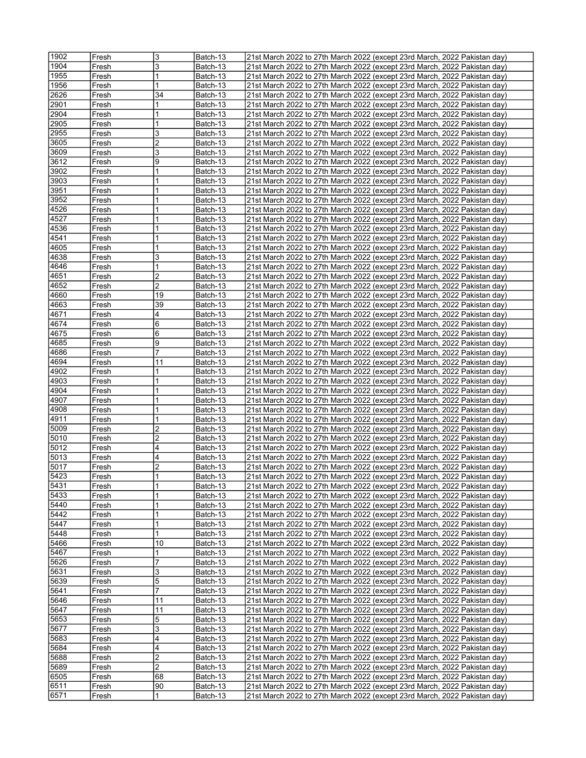| 1902          | Fresh | 3              | Batch-13 | 21st March 2022 to 27th March 2022 (except 23rd March, 2022 Pakistan day)  |
|---------------|-------|----------------|----------|----------------------------------------------------------------------------|
| 1904          | Fresh | 3              | Batch-13 | 21st March 2022 to 27th March 2022 (except 23rd March, 2022 Pakistan day)  |
| 1955          | Fresh | 1              | Batch-13 | 21st March 2022 to 27th March 2022 (except 23rd March, 2022 Pakistan day)  |
| 1956          | Fresh |                | Batch-13 | 21st March 2022 to 27th March 2022 (except 23rd March, 2022 Pakistan day)  |
|               |       | 34             |          |                                                                            |
| 2626          | Fresh |                | Batch-13 | 21st March 2022 to 27th March 2022 (except 23rd March, 2022 Pakistan day)  |
| 2901          | Fresh | 1              | Batch-13 | 21st March 2022 to 27th March 2022 (except 23rd March, 2022 Pakistan day)  |
| 2904          | Fresh |                | Batch-13 | 21st March 2022 to 27th March 2022 (except 23rd March, 2022 Pakistan day)  |
| 2905          | Fresh | 1              | Batch-13 | 21st March 2022 to 27th March 2022 (except 23rd March, 2022 Pakistan day)  |
| 2955          | Fresh | 3              | Batch-13 | 21st March 2022 to 27th March 2022 (except 23rd March, 2022 Pakistan day)  |
| 3605          | Fresh | 2              | Batch-13 | 21st March 2022 to 27th March 2022 (except 23rd March, 2022 Pakistan day)  |
| 3609          | Fresh | 3              | Batch-13 | 21st March 2022 to 27th March 2022 (except 23rd March, 2022 Pakistan day)  |
| 3612          | Fresh | 9              | Batch-13 | 21st March 2022 to 27th March 2022 (except 23rd March, 2022 Pakistan day)  |
| 3902          | Fresh |                | Batch-13 | 21st March 2022 to 27th March 2022 (except 23rd March, 2022 Pakistan day)  |
| 3903          |       |                |          |                                                                            |
|               | Fresh |                | Batch-13 | 21st March 2022 to 27th March 2022 (except 23rd March, 2022 Pakistan day)  |
| 3951          | Fresh | 1              | Batch-13 | 21st March 2022 to 27th March 2022 (except 23rd March, 2022 Pakistan day)  |
| 3952          | Fresh |                | Batch-13 | 21st March 2022 to 27th March 2022 (except 23rd March, 2022 Pakistan day)  |
| 4526          | Fresh |                | Batch-13 | 21st March 2022 to 27th March 2022 (except 23rd March, 2022 Pakistan day)  |
| 4527          | Fresh | 1              | Batch-13 | 21st March 2022 to 27th March 2022 (except 23rd March, 2022 Pakistan day)  |
| 4536          | Fresh |                | Batch-13 | 21st March 2022 to 27th March 2022 (except 23rd March, 2022 Pakistan day)  |
| 4541          | Fresh |                | Batch-13 | 21st March 2022 to 27th March 2022 (except 23rd March, 2022 Pakistan day)  |
| 4605          | Fresh | 1              | Batch-13 | 21st March 2022 to 27th March 2022 (except 23rd March, 2022 Pakistan day)  |
| 4638          | Fresh | 3              | Batch-13 | 21st March 2022 to 27th March 2022 (except 23rd March, 2022 Pakistan day)  |
|               |       |                |          |                                                                            |
| 4646          | Fresh | 1              | Batch-13 | 21st March 2022 to 27th March 2022 (except 23rd March, 2022 Pakistan day)  |
| 4651          | Fresh | 2              | Batch-13 | 21st March 2022 to 27th March 2022 (except 23rd March, 2022 Pakistan day)  |
| 4652          | Fresh | $\overline{2}$ | Batch-13 | 21st March 2022 to 27th March 2022 (except 23rd March, 2022 Pakistan day)  |
| 4660          | Fresh | 19             | Batch-13 | 21st March 2022 to 27th March 2022 (except 23rd March, 2022 Pakistan day)  |
| 4663          | Fresh | 39             | Batch-13 | 21st March 2022 to 27th March 2022 (except 23rd March, 2022 Pakistan day)  |
| 4671          | Fresh | 4              | Batch-13 | (21st March 2022 to 27th March 2022 (except 23rd March, 2022 Pakistan day) |
| 4674          | Fresh | 6              | Batch-13 | 21st March 2022 to 27th March 2022 (except 23rd March, 2022 Pakistan day)  |
| 4675          | Fresh | 6              | Batch-13 | 21st March 2022 to 27th March 2022 (except 23rd March, 2022 Pakistan day)  |
| 4685          | Fresh | 9              | Batch-13 |                                                                            |
|               |       | 7              |          | 21st March 2022 to 27th March 2022 (except 23rd March, 2022 Pakistan day)  |
| 4686          | Fresh |                | Batch-13 | 21st March 2022 to 27th March 2022 (except 23rd March, 2022 Pakistan day)  |
| 4694          | Fresh | 11             | Batch-13 | 21st March 2022 to 27th March 2022 (except 23rd March, 2022 Pakistan day)  |
| 4902          | Fresh | 1              | Batch-13 | 21st March 2022 to 27th March 2022 (except 23rd March, 2022 Pakistan day)  |
| 4903          | Fresh |                | Batch-13 | 21st March 2022 to 27th March 2022 (except 23rd March, 2022 Pakistan day)  |
| 4904          | Fresh |                | Batch-13 | 21st March 2022 to 27th March 2022 (except 23rd March, 2022 Pakistan day)  |
| 4907          | Fresh |                | Batch-13 | 21st March 2022 to 27th March 2022 (except 23rd March, 2022 Pakistan day)  |
| 4908          | Fresh |                | Batch-13 | 21st March 2022 to 27th March 2022 (except 23rd March, 2022 Pakistan day)  |
| 4911          | Fresh |                | Batch-13 | 21st March 2022 to 27th March 2022 (except 23rd March, 2022 Pakistan day)  |
| 5009          | Fresh | 2              | Batch-13 | 21st March 2022 to 27th March 2022 (except 23rd March, 2022 Pakistan day)  |
| 5010          |       | 2              |          |                                                                            |
|               | Fresh |                | Batch-13 | 21st March 2022 to 27th March 2022 (except 23rd March, 2022 Pakistan day)  |
| 5012          | Fresh | 4              | Batch-13 | 21st March 2022 to 27th March 2022 (except 23rd March, 2022 Pakistan day)  |
| 5013          | Fresh | 4              | Batch-13 | (21st March 2022 to 27th March 2022 (except 23rd March, 2022 Pakistan day) |
| 5017          | Fresh | $\overline{2}$ | Batch-13 | 21st March 2022 to 27th March 2022 (except 23rd March, 2022 Pakistan day)  |
| 5423          | Fresh |                | Batch-13 | 21st March 2022 to 27th March 2022 (except 23rd March, 2022 Pakistan day)  |
| 5431          | Fresh | 1              | Batch-13 | 21st March 2022 to 27th March 2022 (except 23rd March, 2022 Pakistan day)  |
| $\sqrt{5433}$ | Fresh | 1              | Batch-13 | 21st March 2022 to 27th March 2022 (except 23rd March, 2022 Pakistan day)  |
| 5440          | Fresh | 1              | Batch-13 | 21st March 2022 to 27th March 2022 (except 23rd March, 2022 Pakistan day)  |
| 5442          | Fresh | 1              | Batch-13 | 21st March 2022 to 27th March 2022 (except 23rd March, 2022 Pakistan day)  |
| 5447          | Fresh | 1              | Batch-13 | 21st March 2022 to 27th March 2022 (except 23rd March, 2022 Pakistan day)  |
| 5448          |       | 1              |          | 21st March 2022 to 27th March 2022 (except 23rd March, 2022 Pakistan day)  |
|               | Fresh |                | Batch-13 |                                                                            |
| 5466          | Fresh | 10             | Batch-13 | 21st March 2022 to 27th March 2022 (except 23rd March, 2022 Pakistan day)  |
| 5467          | Fresh | 1              | Batch-13 | 21st March 2022 to 27th March 2022 (except 23rd March, 2022 Pakistan day)  |
| 5626          | Fresh | 7              | Batch-13 | 21st March 2022 to 27th March 2022 (except 23rd March, 2022 Pakistan day)  |
| 5631          | Fresh | 3              | Batch-13 | 21st March 2022 to 27th March 2022 (except 23rd March, 2022 Pakistan day)  |
| 5639          | Fresh | 5              | Batch-13 | 21st March 2022 to 27th March 2022 (except 23rd March, 2022 Pakistan day)  |
| 5641          | Fresh | 7              | Batch-13 | 21st March 2022 to 27th March 2022 (except 23rd March, 2022 Pakistan day)  |
| 5646          | Fresh | 11             | Batch-13 | 21st March 2022 to 27th March 2022 (except 23rd March, 2022 Pakistan day)  |
| 5647          | Fresh | 11             | Batch-13 | 21st March 2022 to 27th March 2022 (except 23rd March, 2022 Pakistan day)  |
| 5653          |       |                |          |                                                                            |
|               | Fresh | 5              | Batch-13 | 21st March 2022 to 27th March 2022 (except 23rd March, 2022 Pakistan day)  |
| 5677          | Fresh | 3              | Batch-13 | 21st March 2022 to 27th March 2022 (except 23rd March, 2022 Pakistan day)  |
| 5683          | Fresh | 4              | Batch-13 | 21st March 2022 to 27th March 2022 (except 23rd March, 2022 Pakistan day)  |
| 5684          | Fresh | 4              | Batch-13 | 21st March 2022 to 27th March 2022 (except 23rd March, 2022 Pakistan day)  |
| 5688          | Fresh | 2              | Batch-13 | 21st March 2022 to 27th March 2022 (except 23rd March, 2022 Pakistan day)  |
| 5689          | Fresh | 2              | Batch-13 | 21st March 2022 to 27th March 2022 (except 23rd March, 2022 Pakistan day)  |
| 6505          | Fresh | 68             | Batch-13 | 21st March 2022 to 27th March 2022 (except 23rd March, 2022 Pakistan day)  |
| 6511          | Fresh | 90             | Batch-13 | 21st March 2022 to 27th March 2022 (except 23rd March, 2022 Pakistan day)  |
| 6571          | Fresh | 1              | Batch-13 | 21st March 2022 to 27th March 2022 (except 23rd March, 2022 Pakistan day)  |
|               |       |                |          |                                                                            |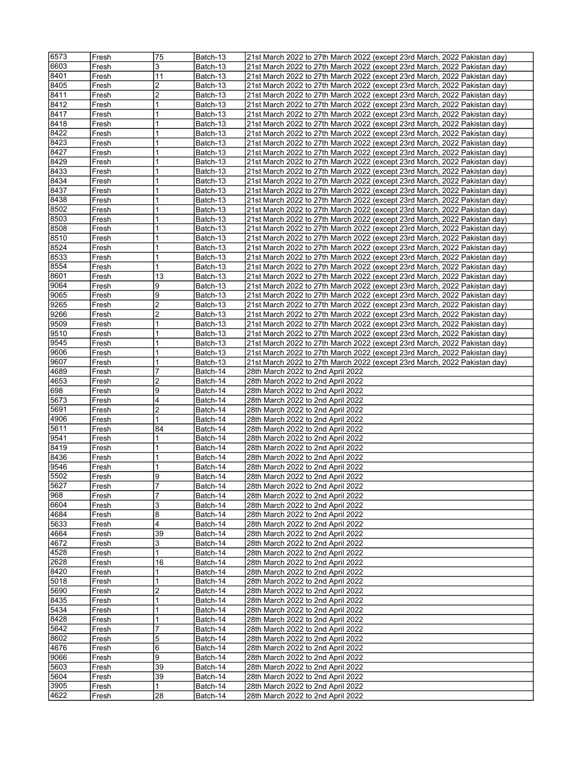| 6573         | Fresh          | 75                  | Batch-13             | 21st March 2022 to 27th March 2022 (except 23rd March, 2022 Pakistan day) |
|--------------|----------------|---------------------|----------------------|---------------------------------------------------------------------------|
| 6603         | Fresh          | 3                   | Batch-13             | 21st March 2022 to 27th March 2022 (except 23rd March, 2022 Pakistan day) |
|              |                |                     |                      |                                                                           |
| 8401         | Fresh          | 11                  | Batch-13             | 21st March 2022 to 27th March 2022 (except 23rd March, 2022 Pakistan day) |
| 8405         | Fresh          | $\overline{2}$      | Batch-13             | 21st March 2022 to 27th March 2022 (except 23rd March, 2022 Pakistan day) |
| 8411         | Fresh          | $\overline{2}$      | Batch-13             | 21st March 2022 to 27th March 2022 (except 23rd March, 2022 Pakistan day) |
| 8412         | Fresh          | $\overline{1}$      | Batch-13             | 21st March 2022 to 27th March 2022 (except 23rd March, 2022 Pakistan day) |
| 8417         | Fresh          | $\mathbf{1}$        | Batch-13             | 21st March 2022 to 27th March 2022 (except 23rd March, 2022 Pakistan day) |
| 8418         | Fresh          | 1                   | Batch-13             | 21st March 2022 to 27th March 2022 (except 23rd March, 2022 Pakistan day) |
| 8422         | Fresh          | $\overline{1}$      | Batch-13             | 21st March 2022 to 27th March 2022 (except 23rd March, 2022 Pakistan day) |
|              |                |                     |                      |                                                                           |
| 8423         | Fresh          |                     | Batch-13             | 21st March 2022 to 27th March 2022 (except 23rd March, 2022 Pakistan day) |
| 8427         | Fresh          | 1                   | Batch-13             | 21st March 2022 to 27th March 2022 (except 23rd March, 2022 Pakistan day) |
| 8429         | Fresh          | $\overline{1}$      | Batch-13             | 21st March 2022 to 27th March 2022 (except 23rd March, 2022 Pakistan day) |
| 8433         | Fresh          |                     | Batch-13             | 21st March 2022 to 27th March 2022 (except 23rd March, 2022 Pakistan day) |
| 8434         | Fresh          | 1                   | Batch-13             | 21st March 2022 to 27th March 2022 (except 23rd March, 2022 Pakistan day) |
| 8437         | Fresh          | $\overline{1}$      | Batch-13             | 21st March 2022 to 27th March 2022 (except 23rd March, 2022 Pakistan day) |
| 8438         | Fresh          | 1                   | Batch-13             | 21st March 2022 to 27th March 2022 (except 23rd March, 2022 Pakistan day) |
| 8502         | Fresh          | 1                   |                      | 21st March 2022 to 27th March 2022 (except 23rd March, 2022 Pakistan day) |
|              |                |                     | Batch-13             |                                                                           |
| 8503         | Fresh          | $\overline{1}$      | Batch-13             | 21st March 2022 to 27th March 2022 (except 23rd March, 2022 Pakistan day) |
| 8508         | Fresh          | 1                   | Batch-13             | 21st March 2022 to 27th March 2022 (except 23rd March, 2022 Pakistan day) |
| 8510         | Fresh          | 1                   | Batch-13             | 21st March 2022 to 27th March 2022 (except 23rd March, 2022 Pakistan day) |
| 8524         | Fresh          | $\overline{1}$      | Batch-13             | 21st March 2022 to 27th March 2022 (except 23rd March, 2022 Pakistan day) |
| 8533         | Fresh          | $\mathbf{1}$        | Batch-13             | 21st March 2022 to 27th March 2022 (except 23rd March, 2022 Pakistan day) |
| 8554         | Fresh          | 1                   | Batch-13             | 21st March 2022 to 27th March 2022 (except 23rd March, 2022 Pakistan day) |
| 8601         | Fresh          | 13                  | Batch-13             | 21st March 2022 to 27th March 2022 (except 23rd March, 2022 Pakistan day) |
|              |                | 9                   |                      |                                                                           |
| 9064         | Fresh          |                     | Batch-13             | 21st March 2022 to 27th March 2022 (except 23rd March, 2022 Pakistan day) |
| 9065         | Fresh          | 9                   | Batch-13             | 21st March 2022 to 27th March 2022 (except 23rd March, 2022 Pakistan day) |
| 9265         | Fresh          | $\overline{2}$      | Batch-13             | 21st March 2022 to 27th March 2022 (except 23rd March, 2022 Pakistan day) |
| 9266         | Fresh          | $\overline{2}$      | Batch-13             | 21st March 2022 to 27th March 2022 (except 23rd March, 2022 Pakistan day) |
| 9509         | Fresh          | $\overline{1}$      | Batch-13             | 21st March 2022 to 27th March 2022 (except 23rd March, 2022 Pakistan day) |
| 9510         | Fresh          | 1                   | Batch-13             | 21st March 2022 to 27th March 2022 (except 23rd March, 2022 Pakistan day) |
| 9545         | Fresh          | 1                   | Batch-13             | 21st March 2022 to 27th March 2022 (except 23rd March, 2022 Pakistan day) |
| 9606         | Fresh          | $\mathbf{1}$        | Batch-13             | 21st March 2022 to 27th March 2022 (except 23rd March, 2022 Pakistan day) |
| 9607         |                |                     |                      |                                                                           |
|              | Fresh          | 1                   | Batch-13             | 21st March 2022 to 27th March 2022 (except 23rd March, 2022 Pakistan day) |
| 4689         | Fresh          | $\overline{7}$      | Batch-14             | 28th March 2022 to 2nd April 2022                                         |
| 4653         | Fresh          | $\overline{2}$      | Batch-14             | 28th March 2022 to 2nd April 2022                                         |
| 698          | Fresh          | 9                   | Batch-14             | 28th March 2022 to 2nd April 2022                                         |
| 5673         | Fresh          | 4                   | Batch-14             | 28th March 2022 to 2nd April 2022                                         |
| 5691         |                |                     |                      | 28th March 2022 to 2nd April 2022                                         |
|              |                |                     |                      |                                                                           |
|              | Fresh          | $\overline{2}$      | Batch-14             |                                                                           |
| 4906         | Fresh          | 1                   | Batch-14             | 28th March 2022 to 2nd April 2022                                         |
| 5611         | Fresh          | 84                  | Batch-14             | 28th March 2022 to 2nd April 2022                                         |
| 9541         | Fresh          | 1                   | Batch-14             | 28th March 2022 to 2nd April 2022                                         |
| 8419         | Fresh          | 1                   | Batch-14             | 28th March 2022 to 2nd April 2022                                         |
| 8436         | Fresh          | 1                   | Batch-14             | 28th March 2022 to 2nd April 2022                                         |
| 9546         | Fresh          | 1                   | Batch-14             | 28th March 2022 to 2nd April 2022                                         |
| 5502         | Fresh          | 9                   | Batch-14             | 28th March 2022 to 2nd April 2022                                         |
|              |                |                     |                      |                                                                           |
| 5627         | Fresh          | 7<br>$\overline{7}$ | Batch-14             | 28th March 2022 to 2nd April 2022                                         |
| 968          | Fresh          |                     | Batch-14             | 28th March 2022 to 2nd April 2022                                         |
| 6604         | Fresh          | 3                   | Batch-14             | 28th March 2022 to 2nd April 2022                                         |
| 4684         | Fresh          | 8                   | Batch-14             | 28th March 2022 to 2nd April 2022                                         |
| 5633         | Fresh          | 4                   | Batch-14             | 28th March 2022 to 2nd April 2022                                         |
| 4664         | Fresh          | 39                  | Batch-14             | 28th March 2022 to 2nd April 2022                                         |
| 4672         | Fresh          | 3                   | Batch-14             | 28th March 2022 to 2nd April 2022                                         |
| 4528         | Fresh          | $\overline{1}$      | Batch-14             | 28th March 2022 to 2nd April 2022                                         |
| 2628         | Fresh          | 16                  | Batch-14             | 28th March 2022 to 2nd April 2022                                         |
| 8420         |                | 1                   |                      | 28th March 2022 to 2nd April 2022                                         |
|              | Fresh          |                     | Batch-14             |                                                                           |
| 5018         | Fresh          | $\overline{1}$      | Batch-14             | 28th March 2022 to 2nd April 2022                                         |
| 5690         | Fresh          | $\overline{c}$      | Batch-14             | 28th March 2022 to 2nd April 2022                                         |
| 8435         | Fresh          | 1                   | Batch-14             | 28th March 2022 to 2nd April 2022                                         |
| 5434         | Fresh          | $\mathbf{1}$        | Batch-14             | 28th March 2022 to 2nd April 2022                                         |
| 8428         | Fresh          | 1                   | Batch-14             | 28th March 2022 to 2nd April 2022                                         |
| 5642         | Fresh          | $\overline{7}$      | Batch-14             | 28th March 2022 to 2nd April 2022                                         |
| 8602         | Fresh          | 5                   | Batch-14             | 28th March 2022 to 2nd April 2022                                         |
| 4676         | Fresh          | 6                   | Batch-14             | 28th March 2022 to 2nd April 2022                                         |
|              |                |                     |                      |                                                                           |
| 9066         | Fresh          | 9                   | Batch-14             | 28th March 2022 to 2nd April 2022                                         |
| 5603         | Fresh          | 39                  | Batch-14             | 28th March 2022 to 2nd April 2022                                         |
| 5604         | Fresh          | 39                  | Batch-14             | 28th March 2022 to 2nd April 2022                                         |
| 3905<br>4622 | Fresh<br>Fresh | 1<br>28             | Batch-14<br>Batch-14 | 28th March 2022 to 2nd April 2022<br>28th March 2022 to 2nd April 2022    |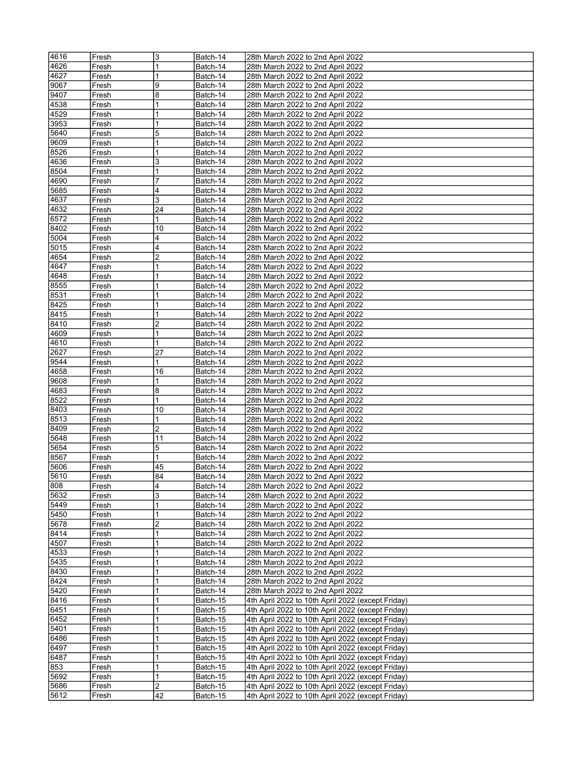| 4616         | Fresh          | 3              | Batch-14             | 28th March 2022 to 2nd April 2022                                                                      |
|--------------|----------------|----------------|----------------------|--------------------------------------------------------------------------------------------------------|
| 4626         | Fresh          |                | Batch-14             | 28th March 2022 to 2nd April 2022                                                                      |
| 4627         |                | 1              | Batch-14             | 28th March 2022 to 2nd April 2022                                                                      |
|              | Fresh          |                |                      |                                                                                                        |
| 9067         | Fresh          | 9              | Batch-14             | 28th March 2022 to 2nd April 2022                                                                      |
| 9407         | Fresh          | 8              | Batch-14             | 28th March 2022 to 2nd April 2022                                                                      |
| 4538         | Fresh          | 1              | Batch-14             | 28th March 2022 to 2nd April 2022                                                                      |
| 4529         | Fresh          | 1              | Batch-14             | 28th March 2022 to 2nd April 2022                                                                      |
| 3953         | Fresh          | 1              | Batch-14             | 28th March 2022 to 2nd April 2022                                                                      |
| 5640         | Fresh          | 5              | Batch-14             | 28th March 2022 to 2nd April 2022                                                                      |
| 9609         | Fresh          | 1              | Batch-14             | 28th March 2022 to 2nd April 2022                                                                      |
| 8526         | Fresh          | 1              | Batch-14             | 28th March 2022 to 2nd April 2022                                                                      |
| 4636         | Fresh          | 3              |                      | 28th March 2022 to 2nd April 2022                                                                      |
|              |                |                | Batch-14             |                                                                                                        |
| 8504         | Fresh          | 1              | Batch-14             | 28th March 2022 to 2nd April 2022                                                                      |
| 4690         | Fresh          | 7              | Batch-14             | 28th March 2022 to 2nd April 2022                                                                      |
| 5685         | Fresh          | 4              | Batch-14             | 28th March 2022 to 2nd April 2022                                                                      |
| 4637         | Fresh          | 3              | Batch-14             | 28th March 2022 to 2nd April 2022                                                                      |
| 4632         | Fresh          | 24             | Batch-14             | 28th March 2022 to 2nd April 2022                                                                      |
| 6572         | Fresh          |                | Batch-14             | 28th March 2022 to 2nd April 2022                                                                      |
| 8402         | Fresh          | 10             | Batch-14             | 28th March 2022 to 2nd April 2022                                                                      |
| 5004         | Fresh          | 4              | Batch-14             | 28th March 2022 to 2nd April 2022                                                                      |
| 5015         |                | 4              |                      |                                                                                                        |
|              | Fresh          |                | Batch-14             | 28th March 2022 to 2nd April 2022                                                                      |
| 4654         | Fresh          | 2              | Batch-14             | 28th March 2022 to 2nd April 2022                                                                      |
| 4647         | Fresh          | 1              | Batch-14             | 28th March 2022 to 2nd April 2022                                                                      |
| 4648         | Fresh          | 1              | Batch-14             | 28th March 2022 to 2nd April 2022                                                                      |
| 8555         | Fresh          |                | Batch-14             | 28th March 2022 to 2nd April 2022                                                                      |
| 8531         | Fresh          | 1              | Batch-14             | 28th March 2022 to 2nd April 2022                                                                      |
| 8425         | Fresh          | 1              | Batch-14             | 28th March 2022 to 2nd April 2022                                                                      |
| 8415         | Fresh          | 1              | Batch-14             | 28th March 2022 to 2nd April 2022                                                                      |
| 8410         | Fresh          | $\overline{2}$ | Batch-14             | 28th March 2022 to 2nd April 2022                                                                      |
|              |                |                |                      |                                                                                                        |
| 4609         | Fresh          | 1              | Batch-14             | 28th March 2022 to 2nd April 2022                                                                      |
| 4610         | Fresh          | $\mathbf{1}$   | Batch-14             | 28th March 2022 to 2nd April 2022                                                                      |
| 2627         | Fresh          | 27             | Batch-14             | 28th March 2022 to 2nd April 2022                                                                      |
| 9544         | Fresh          | 1              | Batch-14             | 28th March 2022 to 2nd April 2022                                                                      |
| 4658         | Fresh          | 16             | Batch-14             | 28th March 2022 to 2nd April 2022                                                                      |
| 9608         | Fresh          | 1              | Batch-14             | 28th March 2022 to 2nd April 2022                                                                      |
| 4683         | Fresh          | 8              | Batch-14             | 28th March 2022 to 2nd April 2022                                                                      |
| 8522         | Fresh          |                | Batch-14             | 28th March 2022 to 2nd April 2022                                                                      |
| 8403         | Fresh          | 10             | Batch-14             | 28th March 2022 to 2nd April 2022                                                                      |
| 8513         |                |                |                      |                                                                                                        |
|              | Fresh          | 1              | Batch-14             | 28th March 2022 to 2nd April 2022<br>28th March 2022 to 2nd April 2022                                 |
| 8409         |                |                |                      |                                                                                                        |
|              | Fresh          | 2              | Batch-14             |                                                                                                        |
| 5648         | Fresh          | 11             | Batch-14             | 28th March 2022 to 2nd April 2022                                                                      |
| 5654         | Fresh          | 5              | Batch-14             | 28th March 2022 to 2nd April 2022                                                                      |
| 8567         | Fresh          | 1              | Batch-14             | 28th March 2022 to 2nd April 2022                                                                      |
| 5606         | Fresh          | 45             |                      |                                                                                                        |
|              |                | 84             | Batch-14             | 28th March 2022 to 2nd April 2022                                                                      |
| 5610         | Fresh          |                | Batch-14             | 28th March 2022 to 2nd April 2022                                                                      |
| 808          | Fresh          | 4              | Batch-14             | 28th March 2022 to 2nd April 2022                                                                      |
| 5632         | Fresh          | 3              | Batch-14             | 28th March 2022 to 2nd April 2022                                                                      |
| 5449         | Fresh          | 1              | Batch-14             | 28th March 2022 to 2nd April 2022                                                                      |
| 5450         | Fresh          | 1              | Batch-14             | 28th March 2022 to 2nd April 2022                                                                      |
| 5678         | Fresh          | 2              | Batch-14             | 28th March 2022 to 2nd April 2022                                                                      |
| 8414         | Fresh          | 1              | Batch-14             | 28th March 2022 to 2nd April 2022                                                                      |
| 4507         | Fresh          | 1              | Batch-14             | 28th March 2022 to 2nd April 2022                                                                      |
| 4533         | Fresh          | 1              | Batch-14             | 28th March 2022 to 2nd April 2022                                                                      |
| 5435         | Fresh          | 1              | Batch-14             |                                                                                                        |
|              |                |                |                      | 28th March 2022 to 2nd April 2022                                                                      |
| 8430         | Fresh          | 1              | Batch-14             | 28th March 2022 to 2nd April 2022                                                                      |
| 8424         | Fresh          | 1              | Batch-14             | 28th March 2022 to 2nd April 2022                                                                      |
| 5420         | Fresh          | 1              | Batch-14             | 28th March 2022 to 2nd April 2022                                                                      |
| 8416         | Fresh          | 1              | Batch-15             | 4th April 2022 to 10th April 2022 (except Friday)                                                      |
| 6451         | Fresh          |                | Batch-15             | 4th April 2022 to 10th April 2022 (except Friday)                                                      |
| 6452         | Fresh          | 1              | Batch-15             | 4th April 2022 to 10th April 2022 (except Friday)                                                      |
| 5401         | Fresh          |                | Batch-15             | 4th April 2022 to 10th April 2022 (except Friday)                                                      |
| 6486         | Fresh          |                | Batch-15             | 4th April 2022 to 10th April 2022 (except Friday)                                                      |
| 6497         | Fresh          | 1              | Batch-15             |                                                                                                        |
|              | Fresh          |                |                      | 4th April 2022 to 10th April 2022 (except Friday)                                                      |
| 6487         |                |                | Batch-15             | 4th April 2022 to 10th April 2022 (except Friday)                                                      |
| 853          | Fresh          |                | Batch-15             | 4th April 2022 to 10th April 2022 (except Friday)                                                      |
| 5692         | Fresh          | 1              | Batch-15             | 4th April 2022 to 10th April 2022 (except Friday)                                                      |
| 5686<br>5612 | Fresh<br>Fresh | 2<br>42        | Batch-15<br>Batch-15 | 4th April 2022 to 10th April 2022 (except Friday)<br>4th April 2022 to 10th April 2022 (except Friday) |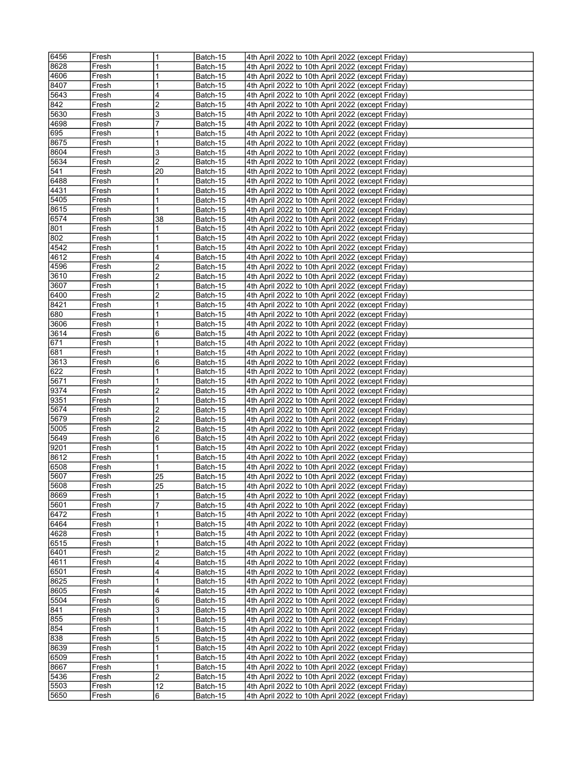| 6456         | Fresh          | $\mathbf{1}$ | Batch-15             | 4th April 2022 to 10th April 2022 (except Friday)                                                      |
|--------------|----------------|--------------|----------------------|--------------------------------------------------------------------------------------------------------|
| 8628         | Fresh          | 1            | Batch-15             | 4th April 2022 to 10th April 2022 (except Friday)                                                      |
| 4606         | Fresh          | 1            | Batch-15             | 4th April 2022 to 10th April 2022 (except Friday)                                                      |
| 8407         | Fresh          | 1            | Batch-15             | 4th April 2022 to 10th April 2022 (except Friday)                                                      |
| 5643         | Fresh          | 4            | Batch-15             | 4th April 2022 to 10th April 2022 (except Friday)                                                      |
| 842          | Fresh          | 2            | Batch-15             | 4th April 2022 to 10th April 2022 (except Friday)                                                      |
| 5630         | Fresh          | 3            | Batch-15             | 4th April 2022 to 10th April 2022 (except Friday)                                                      |
| 4698         | Fresh          | 7            | Batch-15             | 4th April 2022 to 10th April 2022 (except Friday)                                                      |
| 695          | Fresh          | 1            | Batch-15             | 4th April 2022 to 10th April 2022 (except Friday)                                                      |
| 8675         | Fresh          | 1            |                      |                                                                                                        |
| 8604         |                | 3            | Batch-15             | 4th April 2022 to 10th April 2022 (except Friday)<br>4th April 2022 to 10th April 2022 (except Friday) |
| 5634         | Fresh          | 2            | Batch-15             | 4th April 2022 to 10th April 2022 (except Friday)                                                      |
|              | Fresh          |              | Batch-15             |                                                                                                        |
| 541          | Fresh          | 20           | Batch-15             | 4th April 2022 to 10th April 2022 (except Friday)                                                      |
| 6488         | Fresh          | 1            | Batch-15             | 4th April 2022 to 10th April 2022 (except Friday)                                                      |
| 4431         | Fresh          | 1            | Batch-15             | 4th April 2022 to 10th April 2022 (except Friday)                                                      |
| 5405         | Fresh          | 1            | Batch-15             | 4th April 2022 to 10th April 2022 (except Friday)                                                      |
| 8615         | Fresh          | 1            | Batch-15             | 4th April 2022 to 10th April 2022 (except Friday)                                                      |
| 6574         | Fresh          | 38           | Batch-15             | 4th April 2022 to 10th April 2022 (except Friday)                                                      |
| 801          | Fresh          | 1            | Batch-15             | 4th April 2022 to 10th April 2022 (except Friday)                                                      |
| 802          | Fresh          | 1            | Batch-15             | 4th April 2022 to 10th April 2022 (except Friday)                                                      |
| 4542         | Fresh          | 1            | Batch-15             | 4th April 2022 to 10th April 2022 (except Friday)                                                      |
| 4612         | Fresh          | 4            | Batch-15             | 4th April 2022 to 10th April 2022 (except Friday)                                                      |
| 4596         | Fresh          | 2            | Batch-15             | 4th April 2022 to 10th April 2022 (except Friday)                                                      |
| 3610         | Fresh          | 2            | Batch-15             | 4th April 2022 to 10th April 2022 (except Friday)                                                      |
| 3607         | Fresh          | 1            | Batch-15             | 4th April 2022 to 10th April 2022 (except Friday)                                                      |
| 6400         | Fresh          | 2            | Batch-15             | 4th April 2022 to 10th April 2022 (except Friday)                                                      |
| 8421         | Fresh          | 1            | Batch-15             | 4th April 2022 to 10th April 2022 (except Friday)                                                      |
| 680          | Fresh          | 1            | Batch-15             | 4th April 2022 to 10th April 2022 (except Friday)                                                      |
| 3606         | Fresh          | 1            | Batch-15             | 4th April 2022 to 10th April 2022 (except Friday)                                                      |
| 3614         | Fresh          | 6            | Batch-15             | 4th April 2022 to 10th April 2022 (except Friday)                                                      |
| 671          | Fresh          | 1            | Batch-15             | 4th April 2022 to 10th April 2022 (except Friday)                                                      |
| 681          | Fresh          | 1            | Batch-15             | 4th April 2022 to 10th April 2022 (except Friday)                                                      |
| 3613         | Fresh          | 6            | Batch-15             | 4th April 2022 to 10th April 2022 (except Friday)                                                      |
| 622          | Fresh          | 1            | Batch-15             | 4th April 2022 to 10th April 2022 (except Friday)                                                      |
|              |                |              |                      |                                                                                                        |
| 5671         | Fresh          | 1            | Batch-15             | 4th April 2022 to 10th April 2022 (except Friday)                                                      |
| 9374         | Fresh          | 2            | Batch-15             | 4th April 2022 to 10th April 2022 (except Friday)                                                      |
| 9351         | Fresh          | 1            | Batch-15             | 4th April 2022 to 10th April 2022 (except Friday)                                                      |
| 5674         | Fresh          | 2            | Batch-15             | 4th April 2022 to 10th April 2022 (except Friday)                                                      |
| 5679         | Fresh          | 2            | Batch-15             | 4th April 2022 to 10th April 2022 (except Friday)                                                      |
| 5005         | Fresh          | 2            |                      |                                                                                                        |
| 5649         | Fresh          | 6            | Batch-15             | 4th April 2022 to 10th April 2022 (except Friday)<br>4th April 2022 to 10th April 2022 (except Friday) |
|              |                | 1            | Batch-15             |                                                                                                        |
| 9201         | Fresh<br>Fresh | 1            | Batch-15             | 4th April 2022 to 10th April 2022 (except Friday)                                                      |
| 8612         |                |              | Batch-15             | 4th April 2022 to 10th April 2022 (except Friday)                                                      |
| 6508         | Fresh          | 1            | Batch-15             | 4th April 2022 to 10th April 2022 (except Friday)                                                      |
| 5607         | Fresh          | 25           | Batch-15             | 4th April 2022 to 10th April 2022 (except Friday)                                                      |
| 5608         | Fresh          | 25           | Batch-15             | 4th April 2022 to 10th April 2022 (except Friday)                                                      |
| 8669         | Fresh          | 1<br>7       | Batch-15             | 4th April 2022 to 10th April 2022 (except Friday)                                                      |
| 5601         | Fresh          |              | Batch-15             | 4th April 2022 to 10th April 2022 (except Friday)                                                      |
| 6472         | Fresh          | 1            | Batch-15             | 4th April 2022 to 10th April 2022 (except Friday)                                                      |
| 6464         | Fresh          | 1            | Batch-15             | 4th April 2022 to 10th April 2022 (except Friday)                                                      |
| 4628         | Fresh          | 1            | Batch-15             | 4th April 2022 to 10th April 2022 (except Friday)                                                      |
| 6515         | Fresh          | 1            | Batch-15             | 4th April 2022 to 10th April 2022 (except Friday)                                                      |
| 6401         | Fresh          | 2            | Batch-15             | 4th April 2022 to 10th April 2022 (except Friday)                                                      |
| 4611         | Fresh          | 4            | Batch-15             | 4th April 2022 to 10th April 2022 (except Friday)                                                      |
| 6501         | Fresh          | 4            | Batch-15             | 4th April 2022 to 10th April 2022 (except Friday)                                                      |
| 8625         | Fresh          | 1            | Batch-15             | 4th April 2022 to 10th April 2022 (except Friday)                                                      |
| 8605         | Fresh          | 4            | Batch-15             | 4th April 2022 to 10th April 2022 (except Friday)                                                      |
| 5504         | Fresh          | 6            | Batch-15             | 4th April 2022 to 10th April 2022 (except Friday)                                                      |
| 841          | Fresh          | 3            | Batch-15             | 4th April 2022 to 10th April 2022 (except Friday)                                                      |
| 855          | Fresh          | 1            | Batch-15             | 4th April 2022 to 10th April 2022 (except Friday)                                                      |
| 854          | Fresh          | 1            | Batch-15             | 4th April 2022 to 10th April 2022 (except Friday)                                                      |
| 838          | Fresh          | 5            | Batch-15             | 4th April 2022 to 10th April 2022 (except Friday)                                                      |
| 8639         | Fresh          | 1            | Batch-15             | 4th April 2022 to 10th April 2022 (except Friday)                                                      |
| 6509         | Fresh          | 1            | Batch-15             | 4th April 2022 to 10th April 2022 (except Friday)                                                      |
| 8667         | Fresh          | 1            | Batch-15             | 4th April 2022 to 10th April 2022 (except Friday)                                                      |
| 5436         | Fresh          | 2            | Batch-15             | 4th April 2022 to 10th April 2022 (except Friday)                                                      |
| 5503<br>5650 | Fresh<br>Fresh | 12<br>6      | Batch-15<br>Batch-15 | 4th April 2022 to 10th April 2022 (except Friday)<br>4th April 2022 to 10th April 2022 (except Friday) |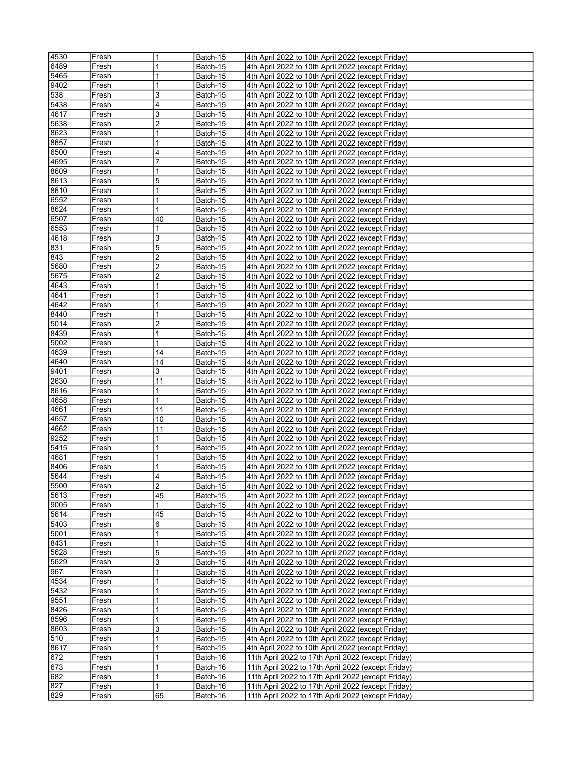| 4530       | Fresh          | $\mathbf{1}$   | Batch-15             | 4th April 2022 to 10th April 2022 (except Friday)                                                        |
|------------|----------------|----------------|----------------------|----------------------------------------------------------------------------------------------------------|
| 6489       | Fresh          | 1              | Batch-15             | 4th April 2022 to 10th April 2022 (except Friday)                                                        |
| 5465       | Fresh          | 1              | Batch-15             | 4th April 2022 to 10th April 2022 (except Friday)                                                        |
| 9402       | Fresh          | 1              | Batch-15             | 4th April 2022 to 10th April 2022 (except Friday)                                                        |
| 538        | Fresh          | 3              | Batch-15             | 4th April 2022 to 10th April 2022 (except Friday)                                                        |
| 5438       | Fresh          | 4              | Batch-15             | 4th April 2022 to 10th April 2022 (except Friday)                                                        |
| 4617       | Fresh          | 3              | Batch-15             | 4th April 2022 to 10th April 2022 (except Friday)                                                        |
| 5638       | Fresh          | $\overline{2}$ | Batch-15             | 4th April 2022 to 10th April 2022 (except Friday)                                                        |
| 8623       | Fresh          | 1              | Batch-15             | 4th April 2022 to 10th April 2022 (except Friday)                                                        |
| 8657       | Fresh          | 1              |                      | 4th April 2022 to 10th April 2022 (except Friday)                                                        |
| 6500       | Fresh          | 4              | Batch-15<br>Batch-15 | 4th April 2022 to 10th April 2022 (except Friday)                                                        |
| 4695       | Fresh          | 7              |                      | 4th April 2022 to 10th April 2022 (except Friday)                                                        |
| 8609       | Fresh          | 1              | Batch-15             |                                                                                                          |
| 8613       |                | 5              | Batch-15             | 4th April 2022 to 10th April 2022 (except Friday)<br>4th April 2022 to 10th April 2022 (except Friday)   |
|            | Fresh          |                | Batch-15             |                                                                                                          |
| 8610       | Fresh          | 1              | Batch-15             | 4th April 2022 to 10th April 2022 (except Friday)                                                        |
| 6552       | Fresh          | 1              | Batch-15             | 4th April 2022 to 10th April 2022 (except Friday)                                                        |
| 8624       | Fresh          | 1              | Batch-15             | 4th April 2022 to 10th April 2022 (except Friday)                                                        |
| 6507       | Fresh          | 40             | Batch-15             | 4th April 2022 to 10th April 2022 (except Friday)                                                        |
| 6553       | Fresh          | 1              | Batch-15             | 4th April 2022 to 10th April 2022 (except Friday)                                                        |
| 4618       | Fresh          | 3              | Batch-15             | 4th April 2022 to 10th April 2022 (except Friday)                                                        |
| 831        | Fresh          | 5              | Batch-15             | 4th April 2022 to 10th April 2022 (except Friday)                                                        |
| 843        | Fresh          | 2              | Batch-15             | 4th April 2022 to 10th April 2022 (except Friday)                                                        |
| 5680       | Fresh          | 2              | Batch-15             | 4th April 2022 to 10th April 2022 (except Friday)                                                        |
| 5675       | Fresh          | 2              | Batch-15             | 4th April 2022 to 10th April 2022 (except Friday)                                                        |
| 4643       | Fresh          | 1              | Batch-15             | 4th April 2022 to 10th April 2022 (except Friday)                                                        |
| 4641       | Fresh          | 1              | Batch-15             | 4th April 2022 to 10th April 2022 (except Friday)                                                        |
| 4642       | Fresh          | 1              | Batch-15             | 4th April 2022 to 10th April 2022 (except Friday)                                                        |
| 8440       | Fresh          | 1              | Batch-15             | 4th April 2022 to 10th April 2022 (except Friday)                                                        |
| 5014       | Fresh          | 2              | Batch-15             | 4th April 2022 to 10th April 2022 (except Friday)                                                        |
| 8439       | Fresh          | 1              | Batch-15             | 4th April 2022 to 10th April 2022 (except Friday)                                                        |
| 5002       | Fresh          | 1              | Batch-15             | 4th April 2022 to 10th April 2022 (except Friday)                                                        |
| 4639       | Fresh          | 14             | Batch-15             | 4th April 2022 to 10th April 2022 (except Friday)                                                        |
| 4640       | Fresh          | 14             | Batch-15             | 4th April 2022 to 10th April 2022 (except Friday)                                                        |
| 9401       | Fresh          | 3              | Batch-15             | 4th April 2022 to 10th April 2022 (except Friday)                                                        |
| 2630       |                |                |                      |                                                                                                          |
|            | Fresh          | 11             | Batch-15             | 4th April 2022 to 10th April 2022 (except Friday)                                                        |
| 8616       | Fresh          | 1              | Batch-15             | 4th April 2022 to 10th April 2022 (except Friday)                                                        |
| 4658       | Fresh          | 1              | Batch-15             | 4th April 2022 to 10th April 2022 (except Friday)                                                        |
| 4661       | Fresh          | 11             | Batch-15             | 4th April 2022 to 10th April 2022 (except Friday)                                                        |
| 4657       | Fresh          | 10             |                      |                                                                                                          |
| 4662       | Fresh          | 11             | Batch-15<br>Batch-15 | 4th April 2022 to 10th April 2022 (except Friday)                                                        |
| 9252       | Fresh          | 1              |                      | 4th April 2022 to 10th April 2022 (except Friday)<br>4th April 2022 to 10th April 2022 (except Friday)   |
|            |                | 1              | Batch-15             |                                                                                                          |
| 5415       | Fresh<br>Fresh | 1              | Batch-15             | 4th April 2022 to 10th April 2022 (except Friday)                                                        |
| 4681       |                |                | Batch-15             | 4th April 2022 to 10th April 2022 (except Friday)                                                        |
| 8406       | Fresh          | 1<br>4         | Batch-15             | 4th April 2022 to 10th April 2022 (except Friday)                                                        |
| 5644       | Fresh          |                | Batch-15             | 4th April 2022 to 10th April 2022 (except Friday)                                                        |
| 5500       | Fresh          | 2              | Batch-15             | 4th April 2022 to 10th April 2022 (except Friday)                                                        |
| 5613       | Fresh          | 45<br>1        | Batch-15             | 4th April 2022 to 10th April 2022 (except Friday)                                                        |
| 9005       | Fresh          |                | Batch-15             | 4th April 2022 to 10th April 2022 (except Friday)                                                        |
| 5614       | Fresh          | 45             | Batch-15             | 4th April 2022 to 10th April 2022 (except Friday)                                                        |
| 5403       | Fresh          | 6              | Batch-15             | 4th April 2022 to 10th April 2022 (except Friday)                                                        |
| 5001       | Fresh          | 1              | Batch-15             | 4th April 2022 to 10th April 2022 (except Friday)                                                        |
| 8431       | Fresh          | 1              | Batch-15             | 4th April 2022 to 10th April 2022 (except Friday)                                                        |
| 5628       | Fresh          | 5              | Batch-15             | 4th April 2022 to 10th April 2022 (except Friday)                                                        |
| 5629       | Fresh          | 3              | Batch-15             | 4th April 2022 to 10th April 2022 (except Friday)                                                        |
| 967        | Fresh          | 1              | Batch-15             | 4th April 2022 to 10th April 2022 (except Friday)                                                        |
| 4534       | Fresh          | 1              | Batch-15             | 4th April 2022 to 10th April 2022 (except Friday)                                                        |
| 5432       | Fresh          | 1              | Batch-15             | 4th April 2022 to 10th April 2022 (except Friday)                                                        |
| 9551       | Fresh          | 1              | Batch-15             | 4th April 2022 to 10th April 2022 (except Friday)                                                        |
| 8426       | Fresh          | 1              | Batch-15             | 4th April 2022 to 10th April 2022 (except Friday)                                                        |
| 8596       | Fresh          | 1              | Batch-15             | 4th April 2022 to 10th April 2022 (except Friday)                                                        |
| 8603       | Fresh          | 3              | Batch-15             | 4th April 2022 to 10th April 2022 (except Friday)                                                        |
| 510        | Fresh          | 1              | Batch-15             | 4th April 2022 to 10th April 2022 (except Friday)                                                        |
| 8617       | Fresh          | 1              | Batch-15             | 4th April 2022 to 10th April 2022 (except Friday)                                                        |
| 672        | Fresh          | 1              | Batch-16             | 11th April 2022 to 17th April 2022 (except Friday)                                                       |
| 673        | Fresh          | 1              | Batch-16             | 11th April 2022 to 17th April 2022 (except Friday)                                                       |
| 682        | Fresh          | 1              | Batch-16             | 11th April 2022 to 17th April 2022 (except Friday)                                                       |
| 827<br>829 | Fresh<br>Fresh | 1<br>65        | Batch-16<br>Batch-16 | 11th April 2022 to 17th April 2022 (except Friday)<br>11th April 2022 to 17th April 2022 (except Friday) |